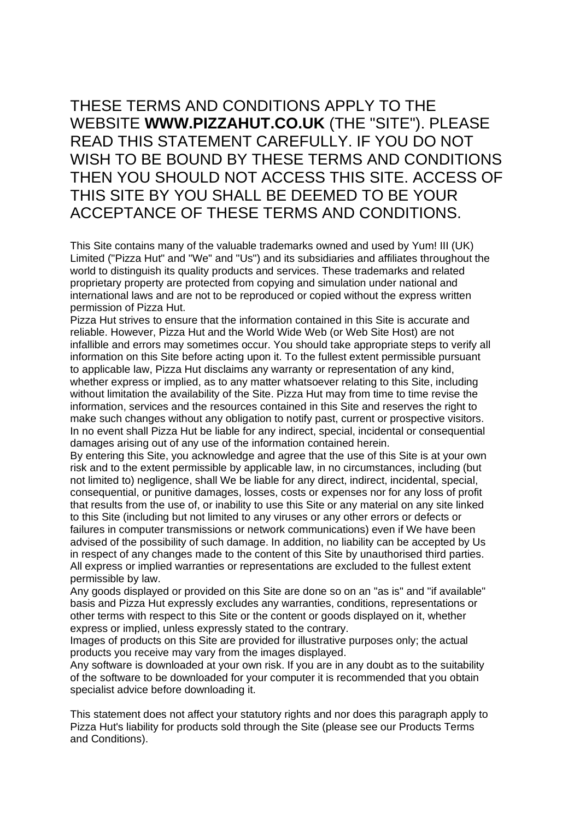# THESE TERMS AND CONDITIONS APPLY TO THE WEBSITE **WWW.PIZZAHUT.CO.UK** (THE "SITE"). PLEASE READ THIS STATEMENT CAREFULLY. IF YOU DO NOT WISH TO BE BOUND BY THESE TERMS AND CONDITIONS THEN YOU SHOULD NOT ACCESS THIS SITE. ACCESS OF THIS SITE BY YOU SHALL BE DEEMED TO BE YOUR ACCEPTANCE OF THESE TERMS AND CONDITIONS.

This Site contains many of the valuable trademarks owned and used by Yum! III (UK) Limited ("Pizza Hut" and "We" and "Us") and its subsidiaries and affiliates throughout the world to distinguish its quality products and services. These trademarks and related proprietary property are protected from copying and simulation under national and international laws and are not to be reproduced or copied without the express written permission of Pizza Hut.

Pizza Hut strives to ensure that the information contained in this Site is accurate and reliable. However, Pizza Hut and the World Wide Web (or Web Site Host) are not infallible and errors may sometimes occur. You should take appropriate steps to verify all information on this Site before acting upon it. To the fullest extent permissible pursuant to applicable law, Pizza Hut disclaims any warranty or representation of any kind, whether express or implied, as to any matter whatsoever relating to this Site, including without limitation the availability of the Site. Pizza Hut may from time to time revise the information, services and the resources contained in this Site and reserves the right to make such changes without any obligation to notify past, current or prospective visitors. In no event shall Pizza Hut be liable for any indirect, special, incidental or consequential damages arising out of any use of the information contained herein.

By entering this Site, you acknowledge and agree that the use of this Site is at your own risk and to the extent permissible by applicable law, in no circumstances, including (but not limited to) negligence, shall We be liable for any direct, indirect, incidental, special, consequential, or punitive damages, losses, costs or expenses nor for any loss of profit that results from the use of, or inability to use this Site or any material on any site linked to this Site (including but not limited to any viruses or any other errors or defects or failures in computer transmissions or network communications) even if We have been advised of the possibility of such damage. In addition, no liability can be accepted by Us in respect of any changes made to the content of this Site by unauthorised third parties. All express or implied warranties or representations are excluded to the fullest extent permissible by law.

Any goods displayed or provided on this Site are done so on an "as is" and "if available" basis and Pizza Hut expressly excludes any warranties, conditions, representations or other terms with respect to this Site or the content or goods displayed on it, whether express or implied, unless expressly stated to the contrary.

Images of products on this Site are provided for illustrative purposes only; the actual products you receive may vary from the images displayed.

Any software is downloaded at your own risk. If you are in any doubt as to the suitability of the software to be downloaded for your computer it is recommended that you obtain specialist advice before downloading it.

This statement does not affect your statutory rights and nor does this paragraph apply to Pizza Hut's liability for products sold through the Site (please see our Products Terms and Conditions).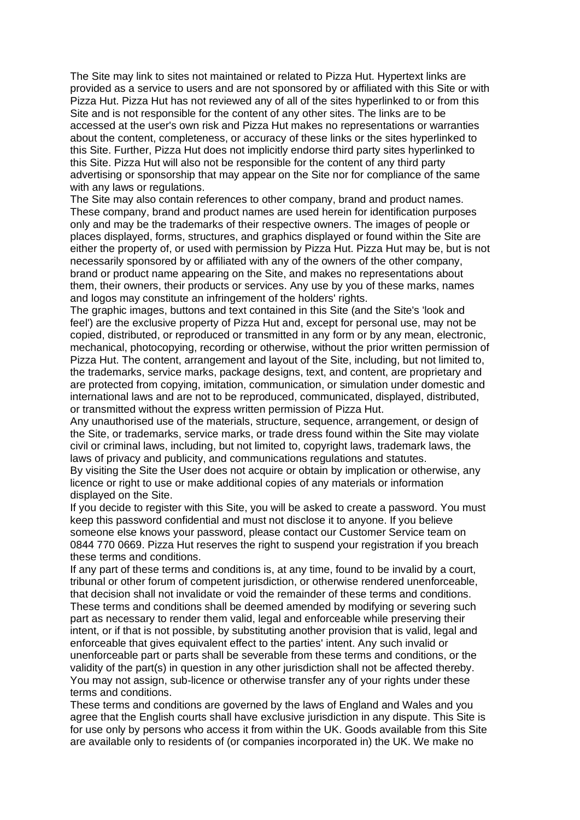The Site may link to sites not maintained or related to Pizza Hut. Hypertext links are provided as a service to users and are not sponsored by or affiliated with this Site or with Pizza Hut. Pizza Hut has not reviewed any of all of the sites hyperlinked to or from this Site and is not responsible for the content of any other sites. The links are to be accessed at the user's own risk and Pizza Hut makes no representations or warranties about the content, completeness, or accuracy of these links or the sites hyperlinked to this Site. Further, Pizza Hut does not implicitly endorse third party sites hyperlinked to this Site. Pizza Hut will also not be responsible for the content of any third party advertising or sponsorship that may appear on the Site nor for compliance of the same with any laws or regulations.

The Site may also contain references to other company, brand and product names. These company, brand and product names are used herein for identification purposes only and may be the trademarks of their respective owners. The images of people or places displayed, forms, structures, and graphics displayed or found within the Site are either the property of, or used with permission by Pizza Hut. Pizza Hut may be, but is not necessarily sponsored by or affiliated with any of the owners of the other company, brand or product name appearing on the Site, and makes no representations about them, their owners, their products or services. Any use by you of these marks, names and logos may constitute an infringement of the holders' rights.

The graphic images, buttons and text contained in this Site (and the Site's 'look and feel') are the exclusive property of Pizza Hut and, except for personal use, may not be copied, distributed, or reproduced or transmitted in any form or by any mean, electronic, mechanical, photocopying, recording or otherwise, without the prior written permission of Pizza Hut. The content, arrangement and layout of the Site, including, but not limited to, the trademarks, service marks, package designs, text, and content, are proprietary and are protected from copying, imitation, communication, or simulation under domestic and international laws and are not to be reproduced, communicated, displayed, distributed, or transmitted without the express written permission of Pizza Hut.

Any unauthorised use of the materials, structure, sequence, arrangement, or design of the Site, or trademarks, service marks, or trade dress found within the Site may violate civil or criminal laws, including, but not limited to, copyright laws, trademark laws, the laws of privacy and publicity, and communications regulations and statutes.

By visiting the Site the User does not acquire or obtain by implication or otherwise, any licence or right to use or make additional copies of any materials or information displayed on the Site.

If you decide to register with this Site, you will be asked to create a password. You must keep this password confidential and must not disclose it to anyone. If you believe someone else knows your password, please contact our Customer Service team on 0844 770 0669. Pizza Hut reserves the right to suspend your registration if you breach these terms and conditions.

If any part of these terms and conditions is, at any time, found to be invalid by a court, tribunal or other forum of competent jurisdiction, or otherwise rendered unenforceable, that decision shall not invalidate or void the remainder of these terms and conditions. These terms and conditions shall be deemed amended by modifying or severing such part as necessary to render them valid, legal and enforceable while preserving their intent, or if that is not possible, by substituting another provision that is valid, legal and enforceable that gives equivalent effect to the parties' intent. Any such invalid or unenforceable part or parts shall be severable from these terms and conditions, or the validity of the part(s) in question in any other jurisdiction shall not be affected thereby. You may not assign, sub-licence or otherwise transfer any of your rights under these terms and conditions.

These terms and conditions are governed by the laws of England and Wales and you agree that the English courts shall have exclusive jurisdiction in any dispute. This Site is for use only by persons who access it from within the UK. Goods available from this Site are available only to residents of (or companies incorporated in) the UK. We make no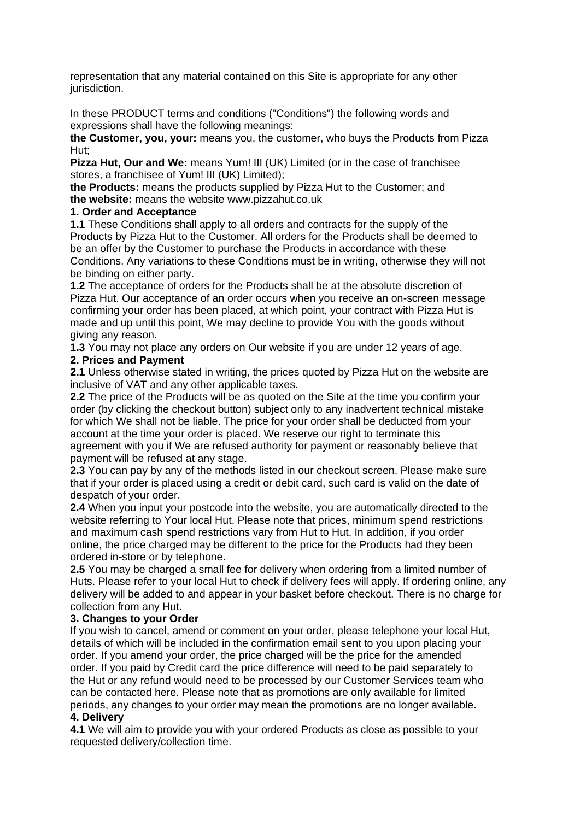representation that any material contained on this Site is appropriate for any other jurisdiction.

In these PRODUCT terms and conditions ("Conditions") the following words and expressions shall have the following meanings:

**the Customer, you, your:** means you, the customer, who buys the Products from Pizza Hut;

**Pizza Hut, Our and We: means Yum! III (UK) Limited (or in the case of franchisee** stores, a franchisee of Yum! III (UK) Limited);

**the Products:** means the products supplied by Pizza Hut to the Customer; and **the website:** means the website www.pizzahut.co.uk

#### **1. Order and Acceptance**

**1.1** These Conditions shall apply to all orders and contracts for the supply of the Products by Pizza Hut to the Customer. All orders for the Products shall be deemed to be an offer by the Customer to purchase the Products in accordance with these Conditions. Any variations to these Conditions must be in writing, otherwise they will not be binding on either party.

**1.2** The acceptance of orders for the Products shall be at the absolute discretion of Pizza Hut. Our acceptance of an order occurs when you receive an on-screen message confirming your order has been placed, at which point, your contract with Pizza Hut is made and up until this point, We may decline to provide You with the goods without giving any reason.

**1.3** You may not place any orders on Our website if you are under 12 years of age.

#### **2. Prices and Payment**

**2.1** Unless otherwise stated in writing, the prices quoted by Pizza Hut on the website are inclusive of VAT and any other applicable taxes.

**2.2** The price of the Products will be as quoted on the Site at the time you confirm your order (by clicking the checkout button) subject only to any inadvertent technical mistake for which We shall not be liable. The price for your order shall be deducted from your account at the time your order is placed. We reserve our right to terminate this agreement with you if We are refused authority for payment or reasonably believe that payment will be refused at any stage.

**2.3** You can pay by any of the methods listed in our checkout screen. Please make sure that if your order is placed using a credit or debit card, such card is valid on the date of despatch of your order.

**2.4** When you input your postcode into the website, you are automatically directed to the website referring to Your local Hut. Please note that prices, minimum spend restrictions and maximum cash spend restrictions vary from Hut to Hut. In addition, if you order online, the price charged may be different to the price for the Products had they been ordered in-store or by telephone.

**2.5** You may be charged a small fee for delivery when ordering from a limited number of Huts. Please refer to your local Hut to check if delivery fees will apply. If ordering online, any delivery will be added to and appear in your basket before checkout. There is no charge for collection from any Hut.

# **3. Changes to your Order**

If you wish to cancel, amend or comment on your order, please telephone your local Hut, details of which will be included in the confirmation email sent to you upon placing your order. If you amend your order, the price charged will be the price for the amended order. If you paid by Credit card the price difference will need to be paid separately to the Hut or any refund would need to be processed by our Customer Services team who can be contacted here. Please note that as promotions are only available for limited periods, any changes to your order may mean the promotions are no longer available. **4. Delivery**

**4.1** We will aim to provide you with your ordered Products as close as possible to your requested delivery/collection time.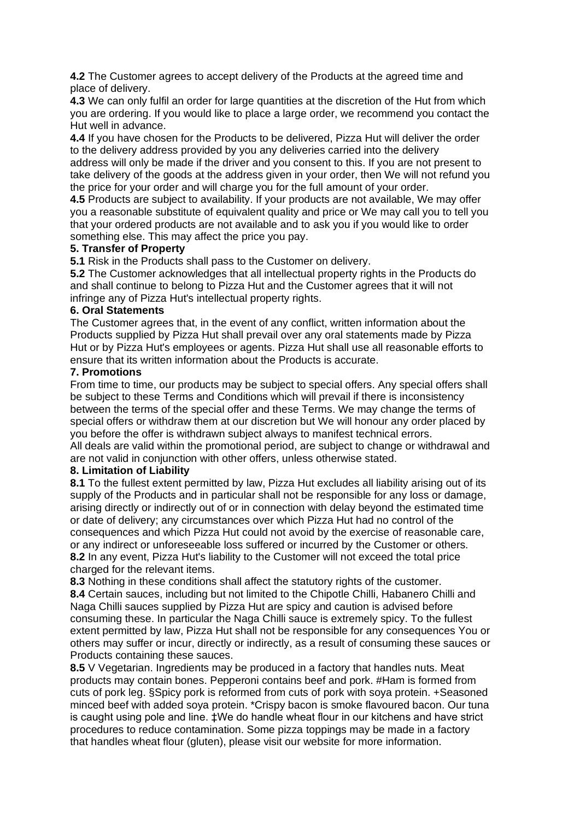**4.2** The Customer agrees to accept delivery of the Products at the agreed time and place of delivery.

**4.3** We can only fulfil an order for large quantities at the discretion of the Hut from which you are ordering. If you would like to place a large order, we recommend you contact the Hut well in advance.

**4.4** If you have chosen for the Products to be delivered, Pizza Hut will deliver the order to the delivery address provided by you any deliveries carried into the delivery address will only be made if the driver and you consent to this. If you are not present to take delivery of the goods at the address given in your order, then We will not refund you the price for your order and will charge you for the full amount of your order.

**4.5** Products are subject to availability. If your products are not available, We may offer you a reasonable substitute of equivalent quality and price or We may call you to tell you that your ordered products are not available and to ask you if you would like to order something else. This may affect the price you pay.

#### **5. Transfer of Property**

**5.1** Risk in the Products shall pass to the Customer on delivery.

**5.2** The Customer acknowledges that all intellectual property rights in the Products do and shall continue to belong to Pizza Hut and the Customer agrees that it will not infringe any of Pizza Hut's intellectual property rights.

#### **6. Oral Statements**

The Customer agrees that, in the event of any conflict, written information about the Products supplied by Pizza Hut shall prevail over any oral statements made by Pizza Hut or by Pizza Hut's employees or agents. Pizza Hut shall use all reasonable efforts to ensure that its written information about the Products is accurate.

#### **7. Promotions**

From time to time, our products may be subject to special offers. Any special offers shall be subject to these Terms and Conditions which will prevail if there is inconsistency between the terms of the special offer and these Terms. We may change the terms of special offers or withdraw them at our discretion but We will honour any order placed by you before the offer is withdrawn subject always to manifest technical errors. All deals are valid within the promotional period, are subject to change or withdrawal and are not valid in conjunction with other offers, unless otherwise stated.

#### **8. Limitation of Liability**

**8.1** To the fullest extent permitted by law, Pizza Hut excludes all liability arising out of its supply of the Products and in particular shall not be responsible for any loss or damage, arising directly or indirectly out of or in connection with delay beyond the estimated time or date of delivery; any circumstances over which Pizza Hut had no control of the consequences and which Pizza Hut could not avoid by the exercise of reasonable care, or any indirect or unforeseeable loss suffered or incurred by the Customer or others. **8.2** In any event, Pizza Hut's liability to the Customer will not exceed the total price charged for the relevant items.

**8.3** Nothing in these conditions shall affect the statutory rights of the customer. **8.4** Certain sauces, including but not limited to the Chipotle Chilli, Habanero Chilli and Naga Chilli sauces supplied by Pizza Hut are spicy and caution is advised before consuming these. In particular the Naga Chilli sauce is extremely spicy. To the fullest extent permitted by law, Pizza Hut shall not be responsible for any consequences You or others may suffer or incur, directly or indirectly, as a result of consuming these sauces or Products containing these sauces.

**8.5** V Vegetarian. Ingredients may be produced in a factory that handles nuts. Meat products may contain bones. Pepperoni contains beef and pork. #Ham is formed from cuts of pork leg. §Spicy pork is reformed from cuts of pork with soya protein. +Seasoned minced beef with added soya protein. \*Crispy bacon is smoke flavoured bacon. Our tuna is caught using pole and line. ‡We do handle wheat flour in our kitchens and have strict procedures to reduce contamination. Some pizza toppings may be made in a factory that handles wheat flour (gluten), please visit our website for more information.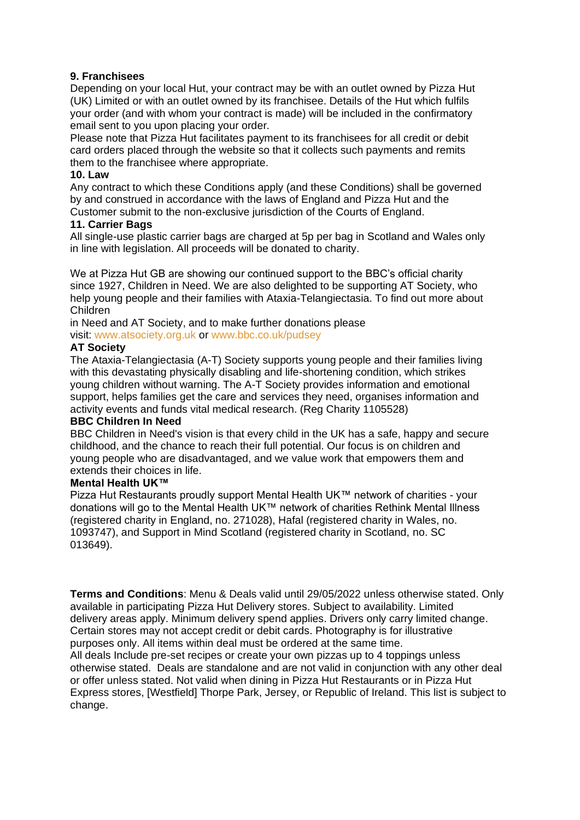# **9. Franchisees**

Depending on your local Hut, your contract may be with an outlet owned by Pizza Hut (UK) Limited or with an outlet owned by its franchisee. Details of the Hut which fulfils your order (and with whom your contract is made) will be included in the confirmatory email sent to you upon placing your order.

Please note that Pizza Hut facilitates payment to its franchisees for all credit or debit card orders placed through the website so that it collects such payments and remits them to the franchisee where appropriate.

#### **10. Law**

Any contract to which these Conditions apply (and these Conditions) shall be governed by and construed in accordance with the laws of England and Pizza Hut and the Customer submit to the non-exclusive jurisdiction of the Courts of England.

#### **11. Carrier Bags**

All single-use plastic carrier bags are charged at 5p per bag in Scotland and Wales only in line with legislation. All proceeds will be donated to charity.

We at Pizza Hut GB are showing our continued support to the BBC's official charity since 1927, Children in Need. We are also delighted to be supporting AT Society, who help young people and their families with Ataxia-Telangiectasia. To find out more about Children

in Need and AT Society, and to make further donations please visit: www.atsociety.org.uk or www.bbc.co.uk/pudsey

#### **AT Society**

The Ataxia-Telangiectasia (A-T) Society supports young people and their families living with this devastating physically disabling and life-shortening condition, which strikes young children without warning. The A-T Society provides information and emotional support, helps families get the care and services they need, organises information and activity events and funds vital medical research. (Reg Charity 1105528)

#### **BBC Children In Need**

BBC Children in Need's vision is that every child in the UK has a safe, happy and secure childhood, and the chance to reach their full potential. Our focus is on children and young people who are disadvantaged, and we value work that empowers them and extends their choices in life.

#### **Mental Health UK™**

Pizza Hut Restaurants proudly support Mental Health UK™ network of charities - your donations will go to the Mental Health UK™ network of charities Rethink Mental Illness (registered charity in England, no. 271028), Hafal (registered charity in Wales, no. 1093747), and Support in Mind Scotland (registered charity in Scotland, no. SC 013649).

**Terms and Conditions**: Menu & Deals valid until 29/05/2022 unless otherwise stated. Only available in participating Pizza Hut Delivery stores. Subject to availability. Limited delivery areas apply. Minimum delivery spend applies. Drivers only carry limited change. Certain stores may not accept credit or debit cards. Photography is for illustrative purposes only. All items within deal must be ordered at the same time. All deals Include pre-set recipes or create your own pizzas up to 4 toppings unless otherwise stated. Deals are standalone and are not valid in conjunction with any other deal or offer unless stated. Not valid when dining in Pizza Hut Restaurants or in Pizza Hut Express stores, [Westfield] Thorpe Park, Jersey, or Republic of Ireland. This list is subject to change.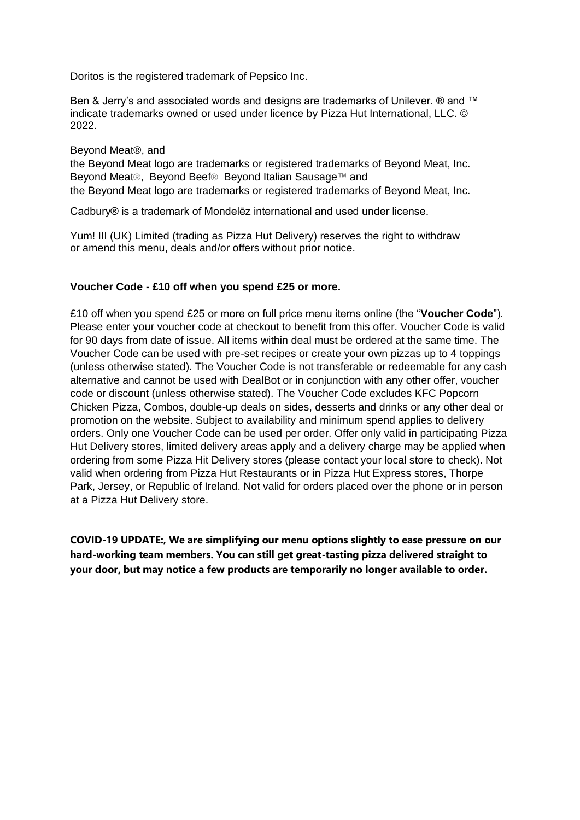Doritos is the registered trademark of Pepsico Inc.

Ben & Jerry's and associated words and designs are trademarks of Unilever. ® and ™ indicate trademarks owned or used under licence by Pizza Hut International, LLC. © 2022.

Beyond Meat®, and

the Beyond Meat logo are trademarks or registered trademarks of Beyond Meat, Inc. Beyond Meat®, Beyond Beef® Beyond Italian Sausage™ and the Beyond Meat logo are trademarks or registered trademarks of Beyond Meat, Inc.

Cadbury® is a trademark of Mondelēz international and used under license.

Yum! III (UK) Limited (trading as Pizza Hut Delivery) reserves the right to withdraw or amend this menu, deals and/or offers without prior notice.

# **Voucher Code - £10 off when you spend £25 or more.**

£10 off when you spend £25 or more on full price menu items online (the "**Voucher Code**"). Please enter your voucher code at checkout to benefit from this offer. Voucher Code is valid for 90 days from date of issue. All items within deal must be ordered at the same time. The Voucher Code can be used with pre-set recipes or create your own pizzas up to 4 toppings (unless otherwise stated). The Voucher Code is not transferable or redeemable for any cash alternative and cannot be used with DealBot or in conjunction with any other offer, voucher code or discount (unless otherwise stated). The Voucher Code excludes KFC Popcorn Chicken Pizza, Combos, double-up deals on sides, desserts and drinks or any other deal or promotion on the website. Subject to availability and minimum spend applies to delivery orders. Only one Voucher Code can be used per order. Offer only valid in participating Pizza Hut Delivery stores, limited delivery areas apply and a delivery charge may be applied when ordering from some Pizza Hit Delivery stores (please contact your local store to check). Not valid when ordering from Pizza Hut Restaurants or in Pizza Hut Express stores, Thorpe Park, Jersey, or Republic of Ireland. Not valid for orders placed over the phone or in person at a Pizza Hut Delivery store.

**COVID-19 UPDATE:, We are simplifying our menu options slightly to ease pressure on our hard-working team members. You can still get great-tasting pizza delivered straight to your door, but may notice a few products are temporarily no longer available to order.**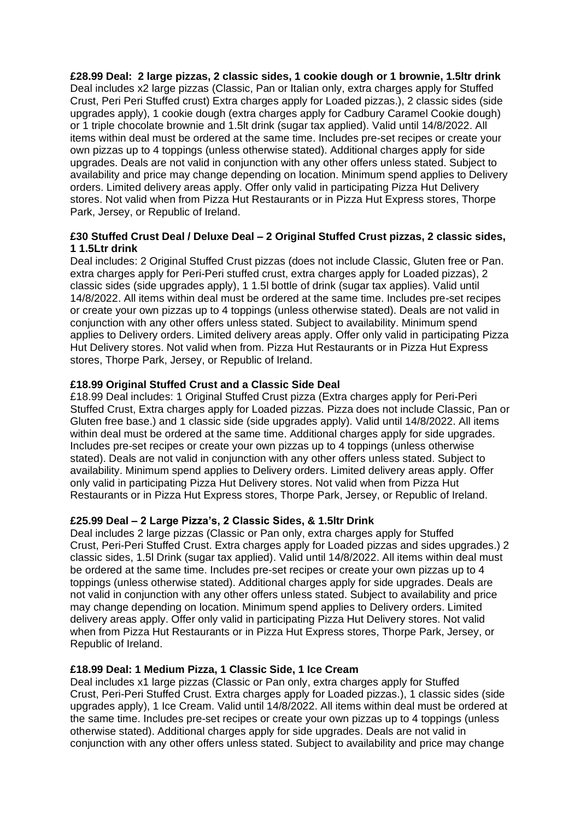**£28.99 Deal: 2 large pizzas, 2 classic sides, 1 cookie dough or 1 brownie, 1.5ltr drink** Deal includes x2 large pizzas (Classic, Pan or Italian only, extra charges apply for Stuffed Crust, Peri Peri Stuffed crust) Extra charges apply for Loaded pizzas.), 2 classic sides (side upgrades apply), 1 cookie dough (extra charges apply for Cadbury Caramel Cookie dough) or 1 triple chocolate brownie and 1.5lt drink (sugar tax applied). Valid until 14/8/2022. All items within deal must be ordered at the same time. Includes pre-set recipes or create your own pizzas up to 4 toppings (unless otherwise stated). Additional charges apply for side upgrades. Deals are not valid in conjunction with any other offers unless stated. Subject to availability and price may change depending on location. Minimum spend applies to Delivery orders. Limited delivery areas apply. Offer only valid in participating Pizza Hut Delivery stores. Not valid when from Pizza Hut Restaurants or in Pizza Hut Express stores, Thorpe Park, Jersey, or Republic of Ireland.

# **£30 Stuffed Crust Deal / Deluxe Deal – 2 Original Stuffed Crust pizzas, 2 classic sides, 1 1.5Ltr drink**

Deal includes: 2 Original Stuffed Crust pizzas (does not include Classic, Gluten free or Pan. extra charges apply for Peri-Peri stuffed crust, extra charges apply for Loaded pizzas), 2 classic sides (side upgrades apply), 1 1.5l bottle of drink (sugar tax applies). Valid until 14/8/2022. All items within deal must be ordered at the same time. Includes pre-set recipes or create your own pizzas up to 4 toppings (unless otherwise stated). Deals are not valid in conjunction with any other offers unless stated. Subject to availability. Minimum spend applies to Delivery orders. Limited delivery areas apply. Offer only valid in participating Pizza Hut Delivery stores. Not valid when from. Pizza Hut Restaurants or in Pizza Hut Express stores, Thorpe Park, Jersey, or Republic of Ireland.

# **£18.99 Original Stuffed Crust and a Classic Side Deal**

£18.99 Deal includes: 1 Original Stuffed Crust pizza (Extra charges apply for Peri-Peri Stuffed Crust, Extra charges apply for Loaded pizzas. Pizza does not include Classic, Pan or Gluten free base.) and 1 classic side (side upgrades apply). Valid until 14/8/2022. All items within deal must be ordered at the same time. Additional charges apply for side upgrades. Includes pre-set recipes or create your own pizzas up to 4 toppings (unless otherwise stated). Deals are not valid in conjunction with any other offers unless stated. Subject to availability. Minimum spend applies to Delivery orders. Limited delivery areas apply. Offer only valid in participating Pizza Hut Delivery stores. Not valid when from Pizza Hut Restaurants or in Pizza Hut Express stores, Thorpe Park, Jersey, or Republic of Ireland.

# **£25.99 Deal – 2 Large Pizza's, 2 Classic Sides, & 1.5ltr Drink**

Deal includes 2 large pizzas (Classic or Pan only, extra charges apply for Stuffed Crust, Peri-Peri Stuffed Crust. Extra charges apply for Loaded pizzas and sides upgrades.) 2 classic sides, 1.5l Drink (sugar tax applied). Valid until 14/8/2022. All items within deal must be ordered at the same time. Includes pre-set recipes or create your own pizzas up to 4 toppings (unless otherwise stated). Additional charges apply for side upgrades. Deals are not valid in conjunction with any other offers unless stated. Subject to availability and price may change depending on location. Minimum spend applies to Delivery orders. Limited delivery areas apply. Offer only valid in participating Pizza Hut Delivery stores. Not valid when from Pizza Hut Restaurants or in Pizza Hut Express stores, Thorpe Park, Jersey, or Republic of Ireland.

# **£18.99 Deal: 1 Medium Pizza, 1 Classic Side, 1 Ice Cream**

Deal includes x1 large pizzas (Classic or Pan only, extra charges apply for Stuffed Crust, Peri-Peri Stuffed Crust. Extra charges apply for Loaded pizzas.), 1 classic sides (side upgrades apply), 1 Ice Cream. Valid until 14/8/2022. All items within deal must be ordered at the same time. Includes pre-set recipes or create your own pizzas up to 4 toppings (unless otherwise stated). Additional charges apply for side upgrades. Deals are not valid in conjunction with any other offers unless stated. Subject to availability and price may change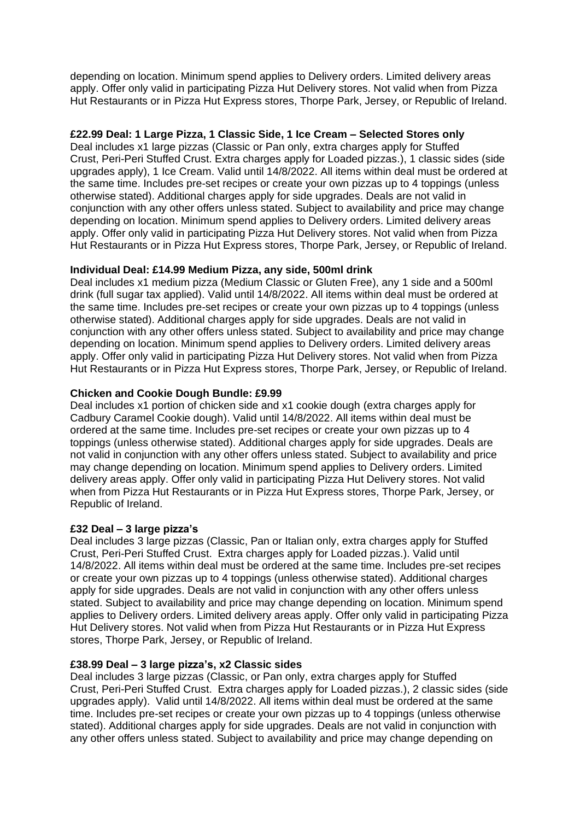depending on location. Minimum spend applies to Delivery orders. Limited delivery areas apply. Offer only valid in participating Pizza Hut Delivery stores. Not valid when from Pizza Hut Restaurants or in Pizza Hut Express stores, Thorpe Park, Jersey, or Republic of Ireland.

#### **£22.99 Deal: 1 Large Pizza, 1 Classic Side, 1 Ice Cream – Selected Stores only**

Deal includes x1 large pizzas (Classic or Pan only, extra charges apply for Stuffed Crust, Peri-Peri Stuffed Crust. Extra charges apply for Loaded pizzas.), 1 classic sides (side upgrades apply), 1 Ice Cream. Valid until 14/8/2022. All items within deal must be ordered at the same time. Includes pre-set recipes or create your own pizzas up to 4 toppings (unless otherwise stated). Additional charges apply for side upgrades. Deals are not valid in conjunction with any other offers unless stated. Subject to availability and price may change depending on location. Minimum spend applies to Delivery orders. Limited delivery areas apply. Offer only valid in participating Pizza Hut Delivery stores. Not valid when from Pizza Hut Restaurants or in Pizza Hut Express stores, Thorpe Park, Jersey, or Republic of Ireland.

#### **Individual Deal: £14.99 Medium Pizza, any side, 500ml drink**

Deal includes x1 medium pizza (Medium Classic or Gluten Free), any 1 side and a 500ml drink (full sugar tax applied). Valid until 14/8/2022. All items within deal must be ordered at the same time. Includes pre-set recipes or create your own pizzas up to 4 toppings (unless otherwise stated). Additional charges apply for side upgrades. Deals are not valid in conjunction with any other offers unless stated. Subject to availability and price may change depending on location. Minimum spend applies to Delivery orders. Limited delivery areas apply. Offer only valid in participating Pizza Hut Delivery stores. Not valid when from Pizza Hut Restaurants or in Pizza Hut Express stores, Thorpe Park, Jersey, or Republic of Ireland.

#### **Chicken and Cookie Dough Bundle: £9.99**

Deal includes x1 portion of chicken side and x1 cookie dough (extra charges apply for Cadbury Caramel Cookie dough). Valid until 14/8/2022. All items within deal must be ordered at the same time. Includes pre-set recipes or create your own pizzas up to 4 toppings (unless otherwise stated). Additional charges apply for side upgrades. Deals are not valid in conjunction with any other offers unless stated. Subject to availability and price may change depending on location. Minimum spend applies to Delivery orders. Limited delivery areas apply. Offer only valid in participating Pizza Hut Delivery stores. Not valid when from Pizza Hut Restaurants or in Pizza Hut Express stores, Thorpe Park, Jersey, or Republic of Ireland.

#### **£32 Deal – 3 large pizza's**

Deal includes 3 large pizzas (Classic, Pan or Italian only, extra charges apply for Stuffed Crust, Peri-Peri Stuffed Crust. Extra charges apply for Loaded pizzas.). Valid until 14/8/2022. All items within deal must be ordered at the same time. Includes pre-set recipes or create your own pizzas up to 4 toppings (unless otherwise stated). Additional charges apply for side upgrades. Deals are not valid in conjunction with any other offers unless stated. Subject to availability and price may change depending on location. Minimum spend applies to Delivery orders. Limited delivery areas apply. Offer only valid in participating Pizza Hut Delivery stores. Not valid when from Pizza Hut Restaurants or in Pizza Hut Express stores, Thorpe Park, Jersey, or Republic of Ireland.

# **£38.99 Deal – 3 large pizza's, x2 Classic sides**

Deal includes 3 large pizzas (Classic, or Pan only, extra charges apply for Stuffed Crust, Peri-Peri Stuffed Crust. Extra charges apply for Loaded pizzas.), 2 classic sides (side upgrades apply). Valid until 14/8/2022. All items within deal must be ordered at the same time. Includes pre-set recipes or create your own pizzas up to 4 toppings (unless otherwise stated). Additional charges apply for side upgrades. Deals are not valid in conjunction with any other offers unless stated. Subject to availability and price may change depending on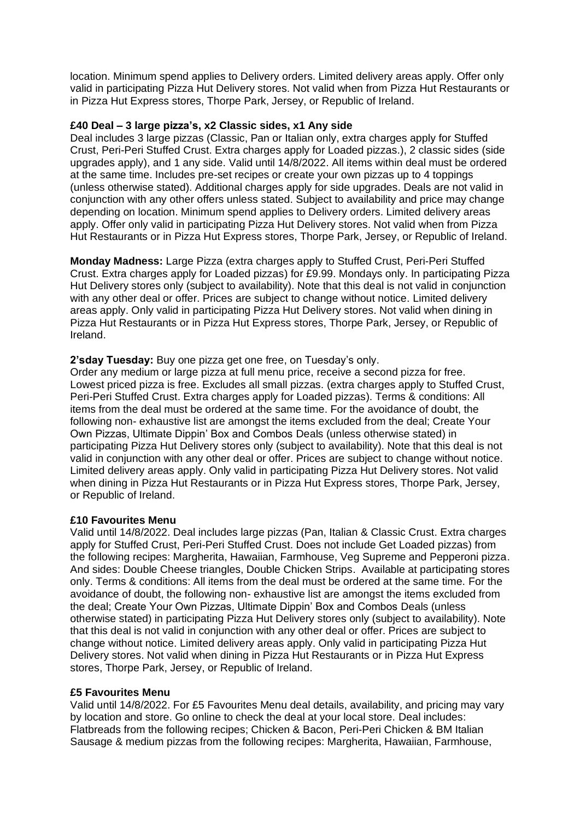location. Minimum spend applies to Delivery orders. Limited delivery areas apply. Offer only valid in participating Pizza Hut Delivery stores. Not valid when from Pizza Hut Restaurants or in Pizza Hut Express stores, Thorpe Park, Jersey, or Republic of Ireland.

#### **£40 Deal – 3 large pizza's, x2 Classic sides, x1 Any side**

Deal includes 3 large pizzas (Classic, Pan or Italian only, extra charges apply for Stuffed Crust, Peri-Peri Stuffed Crust. Extra charges apply for Loaded pizzas.), 2 classic sides (side upgrades apply), and 1 any side. Valid until 14/8/2022. All items within deal must be ordered at the same time. Includes pre-set recipes or create your own pizzas up to 4 toppings (unless otherwise stated). Additional charges apply for side upgrades. Deals are not valid in conjunction with any other offers unless stated. Subject to availability and price may change depending on location. Minimum spend applies to Delivery orders. Limited delivery areas apply. Offer only valid in participating Pizza Hut Delivery stores. Not valid when from Pizza Hut Restaurants or in Pizza Hut Express stores, Thorpe Park, Jersey, or Republic of Ireland.

**Monday Madness:** Large Pizza (extra charges apply to Stuffed Crust, Peri-Peri Stuffed Crust. Extra charges apply for Loaded pizzas) for £9.99. Mondays only. In participating Pizza Hut Delivery stores only (subject to availability). Note that this deal is not valid in conjunction with any other deal or offer. Prices are subject to change without notice. Limited delivery areas apply. Only valid in participating Pizza Hut Delivery stores. Not valid when dining in Pizza Hut Restaurants or in Pizza Hut Express stores, Thorpe Park, Jersey, or Republic of Ireland.

# **2'sday Tuesday:** Buy one pizza get one free, on Tuesday's only.

Order any medium or large pizza at full menu price, receive a second pizza for free. Lowest priced pizza is free. Excludes all small pizzas. (extra charges apply to Stuffed Crust, Peri-Peri Stuffed Crust. Extra charges apply for Loaded pizzas). Terms & conditions: All items from the deal must be ordered at the same time. For the avoidance of doubt, the following non- exhaustive list are amongst the items excluded from the deal; Create Your Own Pizzas, Ultimate Dippin' Box and Combos Deals (unless otherwise stated) in participating Pizza Hut Delivery stores only (subject to availability). Note that this deal is not valid in conjunction with any other deal or offer. Prices are subject to change without notice. Limited delivery areas apply. Only valid in participating Pizza Hut Delivery stores. Not valid when dining in Pizza Hut Restaurants or in Pizza Hut Express stores, Thorpe Park, Jersey, or Republic of Ireland.

# **£10 Favourites Menu**

Valid until 14/8/2022. Deal includes large pizzas (Pan, Italian & Classic Crust. Extra charges apply for Stuffed Crust, Peri-Peri Stuffed Crust. Does not include Get Loaded pizzas) from the following recipes: Margherita, Hawaiian, Farmhouse, Veg Supreme and Pepperoni pizza. And sides: Double Cheese triangles, Double Chicken Strips. Available at participating stores only. Terms & conditions: All items from the deal must be ordered at the same time. For the avoidance of doubt, the following non- exhaustive list are amongst the items excluded from the deal; Create Your Own Pizzas, Ultimate Dippin' Box and Combos Deals (unless otherwise stated) in participating Pizza Hut Delivery stores only (subject to availability). Note that this deal is not valid in conjunction with any other deal or offer. Prices are subject to change without notice. Limited delivery areas apply. Only valid in participating Pizza Hut Delivery stores. Not valid when dining in Pizza Hut Restaurants or in Pizza Hut Express stores, Thorpe Park, Jersey, or Republic of Ireland.

# **£5 Favourites Menu**

Valid until 14/8/2022. For £5 Favourites Menu deal details, availability, and pricing may vary by location and store. Go online to check the deal at your local store. Deal includes: Flatbreads from the following recipes; Chicken & Bacon, Peri-Peri Chicken & BM Italian Sausage & medium pizzas from the following recipes: Margherita, Hawaiian, Farmhouse,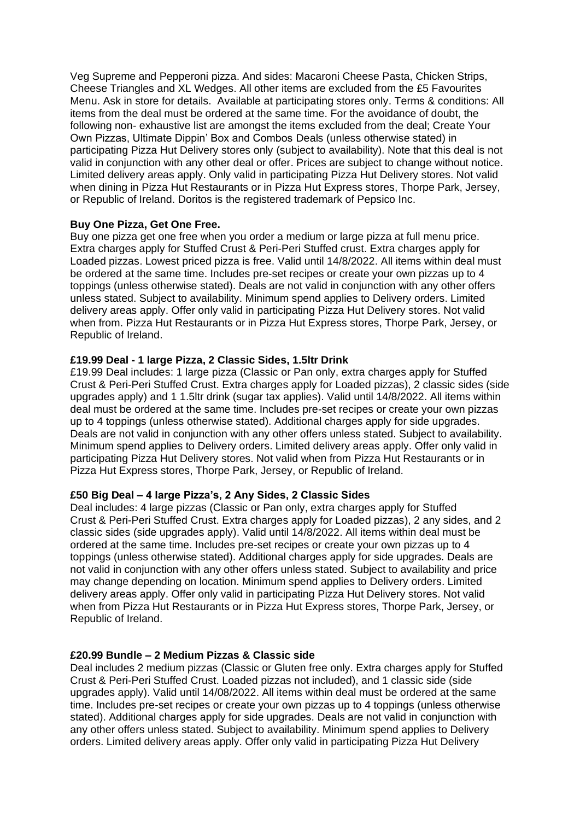Veg Supreme and Pepperoni pizza. And sides: Macaroni Cheese Pasta, Chicken Strips, Cheese Triangles and XL Wedges. All other items are excluded from the £5 Favourites Menu. Ask in store for details. Available at participating stores only. Terms & conditions: All items from the deal must be ordered at the same time. For the avoidance of doubt, the following non- exhaustive list are amongst the items excluded from the deal; Create Your Own Pizzas, Ultimate Dippin' Box and Combos Deals (unless otherwise stated) in participating Pizza Hut Delivery stores only (subject to availability). Note that this deal is not valid in conjunction with any other deal or offer. Prices are subject to change without notice. Limited delivery areas apply. Only valid in participating Pizza Hut Delivery stores. Not valid when dining in Pizza Hut Restaurants or in Pizza Hut Express stores, Thorpe Park, Jersey, or Republic of Ireland. Doritos is the registered trademark of Pepsico Inc.

#### **Buy One Pizza, Get One Free.**

Buy one pizza get one free when you order a medium or large pizza at full menu price. Extra charges apply for Stuffed Crust & Peri-Peri Stuffed crust. Extra charges apply for Loaded pizzas. Lowest priced pizza is free. Valid until 14/8/2022. All items within deal must be ordered at the same time. Includes pre-set recipes or create your own pizzas up to 4 toppings (unless otherwise stated). Deals are not valid in conjunction with any other offers unless stated. Subject to availability. Minimum spend applies to Delivery orders. Limited delivery areas apply. Offer only valid in participating Pizza Hut Delivery stores. Not valid when from. Pizza Hut Restaurants or in Pizza Hut Express stores, Thorpe Park, Jersey, or Republic of Ireland.

# **£19.99 Deal - 1 large Pizza, 2 Classic Sides, 1.5ltr Drink**

£19.99 Deal includes: 1 large pizza (Classic or Pan only, extra charges apply for Stuffed Crust & Peri-Peri Stuffed Crust. Extra charges apply for Loaded pizzas), 2 classic sides (side upgrades apply) and 1 1.5ltr drink (sugar tax applies). Valid until 14/8/2022. All items within deal must be ordered at the same time. Includes pre-set recipes or create your own pizzas up to 4 toppings (unless otherwise stated). Additional charges apply for side upgrades. Deals are not valid in conjunction with any other offers unless stated. Subject to availability. Minimum spend applies to Delivery orders. Limited delivery areas apply. Offer only valid in participating Pizza Hut Delivery stores. Not valid when from Pizza Hut Restaurants or in Pizza Hut Express stores, Thorpe Park, Jersey, or Republic of Ireland.

# **£50 Big Deal – 4 large Pizza's, 2 Any Sides, 2 Classic Sides**

Deal includes: 4 large pizzas (Classic or Pan only, extra charges apply for Stuffed Crust & Peri-Peri Stuffed Crust. Extra charges apply for Loaded pizzas), 2 any sides, and 2 classic sides (side upgrades apply). Valid until 14/8/2022. All items within deal must be ordered at the same time. Includes pre-set recipes or create your own pizzas up to 4 toppings (unless otherwise stated). Additional charges apply for side upgrades. Deals are not valid in conjunction with any other offers unless stated. Subject to availability and price may change depending on location. Minimum spend applies to Delivery orders. Limited delivery areas apply. Offer only valid in participating Pizza Hut Delivery stores. Not valid when from Pizza Hut Restaurants or in Pizza Hut Express stores, Thorpe Park, Jersey, or Republic of Ireland.

# **£20.99 Bundle – 2 Medium Pizzas & Classic side**

Deal includes 2 medium pizzas (Classic or Gluten free only. Extra charges apply for Stuffed Crust & Peri-Peri Stuffed Crust. Loaded pizzas not included), and 1 classic side (side upgrades apply). Valid until 14/08/2022. All items within deal must be ordered at the same time. Includes pre-set recipes or create your own pizzas up to 4 toppings (unless otherwise stated). Additional charges apply for side upgrades. Deals are not valid in conjunction with any other offers unless stated. Subject to availability. Minimum spend applies to Delivery orders. Limited delivery areas apply. Offer only valid in participating Pizza Hut Delivery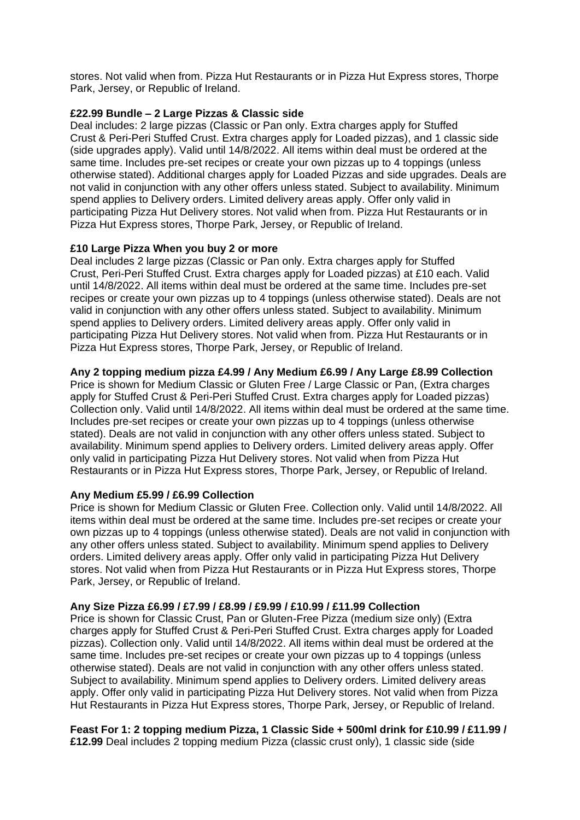stores. Not valid when from. Pizza Hut Restaurants or in Pizza Hut Express stores, Thorpe Park, Jersey, or Republic of Ireland.

# **£22.99 Bundle – 2 Large Pizzas & Classic side**

Deal includes: 2 large pizzas (Classic or Pan only. Extra charges apply for Stuffed Crust & Peri-Peri Stuffed Crust. Extra charges apply for Loaded pizzas), and 1 classic side (side upgrades apply). Valid until 14/8/2022. All items within deal must be ordered at the same time. Includes pre-set recipes or create your own pizzas up to 4 toppings (unless otherwise stated). Additional charges apply for Loaded Pizzas and side upgrades. Deals are not valid in conjunction with any other offers unless stated. Subject to availability. Minimum spend applies to Delivery orders. Limited delivery areas apply. Offer only valid in participating Pizza Hut Delivery stores. Not valid when from. Pizza Hut Restaurants or in Pizza Hut Express stores, Thorpe Park, Jersey, or Republic of Ireland.

#### **£10 Large Pizza When you buy 2 or more**

Deal includes 2 large pizzas (Classic or Pan only. Extra charges apply for Stuffed Crust, Peri-Peri Stuffed Crust. Extra charges apply for Loaded pizzas) at £10 each. Valid until 14/8/2022. All items within deal must be ordered at the same time. Includes pre-set recipes or create your own pizzas up to 4 toppings (unless otherwise stated). Deals are not valid in conjunction with any other offers unless stated. Subject to availability. Minimum spend applies to Delivery orders. Limited delivery areas apply. Offer only valid in participating Pizza Hut Delivery stores. Not valid when from. Pizza Hut Restaurants or in Pizza Hut Express stores, Thorpe Park, Jersey, or Republic of Ireland.

#### **Any 2 topping medium pizza £4.99 / Any Medium £6.99 / Any Large £8.99 Collection**

Price is shown for Medium Classic or Gluten Free / Large Classic or Pan, (Extra charges apply for Stuffed Crust & Peri-Peri Stuffed Crust. Extra charges apply for Loaded pizzas) Collection only. Valid until 14/8/2022. All items within deal must be ordered at the same time. Includes pre-set recipes or create your own pizzas up to 4 toppings (unless otherwise stated). Deals are not valid in conjunction with any other offers unless stated. Subject to availability. Minimum spend applies to Delivery orders. Limited delivery areas apply. Offer only valid in participating Pizza Hut Delivery stores. Not valid when from Pizza Hut Restaurants or in Pizza Hut Express stores, Thorpe Park, Jersey, or Republic of Ireland.

# **Any Medium £5.99 / £6.99 Collection**

Price is shown for Medium Classic or Gluten Free. Collection only. Valid until 14/8/2022. All items within deal must be ordered at the same time. Includes pre-set recipes or create your own pizzas up to 4 toppings (unless otherwise stated). Deals are not valid in conjunction with any other offers unless stated. Subject to availability. Minimum spend applies to Delivery orders. Limited delivery areas apply. Offer only valid in participating Pizza Hut Delivery stores. Not valid when from Pizza Hut Restaurants or in Pizza Hut Express stores, Thorpe Park, Jersey, or Republic of Ireland.

#### **Any Size Pizza £6.99 / £7.99 / £8.99 / £9.99 / £10.99 / £11.99 Collection**

Price is shown for Classic Crust, Pan or Gluten-Free Pizza (medium size only) (Extra charges apply for Stuffed Crust & Peri-Peri Stuffed Crust. Extra charges apply for Loaded pizzas). Collection only. Valid until 14/8/2022. All items within deal must be ordered at the same time. Includes pre-set recipes or create your own pizzas up to 4 toppings (unless otherwise stated). Deals are not valid in conjunction with any other offers unless stated. Subject to availability. Minimum spend applies to Delivery orders. Limited delivery areas apply. Offer only valid in participating Pizza Hut Delivery stores. Not valid when from Pizza Hut Restaurants in Pizza Hut Express stores, Thorpe Park, Jersey, or Republic of Ireland.

# **Feast For 1: 2 topping medium Pizza, 1 Classic Side + 500ml drink for £10.99 / £11.99 /**

**£12.99** Deal includes 2 topping medium Pizza (classic crust only), 1 classic side (side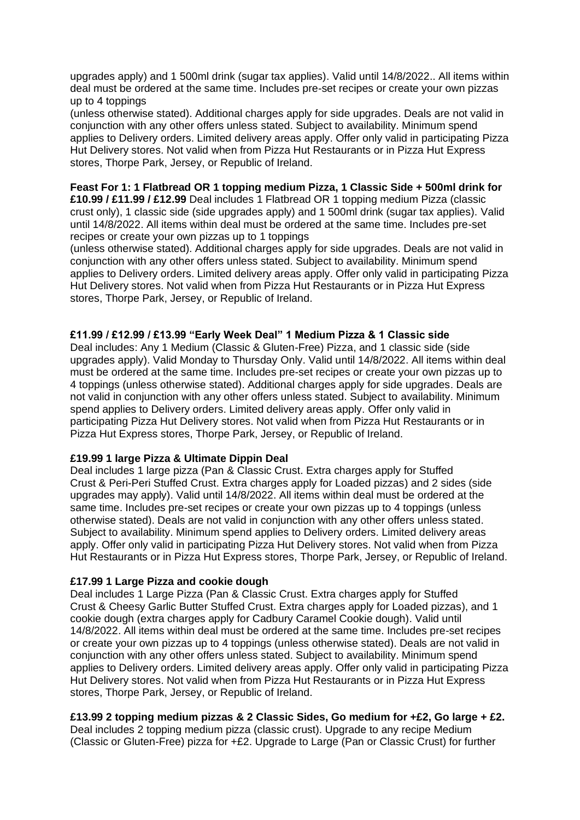upgrades apply) and 1 500ml drink (sugar tax applies). Valid until 14/8/2022.. All items within deal must be ordered at the same time. Includes pre-set recipes or create your own pizzas up to 4 toppings

(unless otherwise stated). Additional charges apply for side upgrades. Deals are not valid in conjunction with any other offers unless stated. Subject to availability. Minimum spend applies to Delivery orders. Limited delivery areas apply. Offer only valid in participating Pizza Hut Delivery stores. Not valid when from Pizza Hut Restaurants or in Pizza Hut Express stores, Thorpe Park, Jersey, or Republic of Ireland.

# **Feast For 1: 1 Flatbread OR 1 topping medium Pizza, 1 Classic Side + 500ml drink for**

**£10.99 / £11.99 / £12.99** Deal includes 1 Flatbread OR 1 topping medium Pizza (classic crust only), 1 classic side (side upgrades apply) and 1 500ml drink (sugar tax applies). Valid until 14/8/2022. All items within deal must be ordered at the same time. Includes pre-set recipes or create your own pizzas up to 1 toppings

(unless otherwise stated). Additional charges apply for side upgrades. Deals are not valid in conjunction with any other offers unless stated. Subject to availability. Minimum spend applies to Delivery orders. Limited delivery areas apply. Offer only valid in participating Pizza Hut Delivery stores. Not valid when from Pizza Hut Restaurants or in Pizza Hut Express stores, Thorpe Park, Jersey, or Republic of Ireland.

#### **£11.99 / £12.99 / £13.99 "Early Week Deal" 1 Medium Pizza & 1 Classic side**

Deal includes: Any 1 Medium (Classic & Gluten-Free) Pizza, and 1 classic side (side upgrades apply). Valid Monday to Thursday Only. Valid until 14/8/2022. All items within deal must be ordered at the same time. Includes pre-set recipes or create your own pizzas up to 4 toppings (unless otherwise stated). Additional charges apply for side upgrades. Deals are not valid in conjunction with any other offers unless stated. Subject to availability. Minimum spend applies to Delivery orders. Limited delivery areas apply. Offer only valid in participating Pizza Hut Delivery stores. Not valid when from Pizza Hut Restaurants or in Pizza Hut Express stores, Thorpe Park, Jersey, or Republic of Ireland.

# **£19.99 1 large Pizza & Ultimate Dippin Deal**

Deal includes 1 large pizza (Pan & Classic Crust. Extra charges apply for Stuffed Crust & Peri-Peri Stuffed Crust. Extra charges apply for Loaded pizzas) and 2 sides (side upgrades may apply). Valid until 14/8/2022. All items within deal must be ordered at the same time. Includes pre-set recipes or create your own pizzas up to 4 toppings (unless otherwise stated). Deals are not valid in conjunction with any other offers unless stated. Subject to availability. Minimum spend applies to Delivery orders. Limited delivery areas apply. Offer only valid in participating Pizza Hut Delivery stores. Not valid when from Pizza Hut Restaurants or in Pizza Hut Express stores, Thorpe Park, Jersey, or Republic of Ireland.

#### **£17.99 1 Large Pizza and cookie dough**

Deal includes 1 Large Pizza (Pan & Classic Crust. Extra charges apply for Stuffed Crust & Cheesy Garlic Butter Stuffed Crust. Extra charges apply for Loaded pizzas), and 1 cookie dough (extra charges apply for Cadbury Caramel Cookie dough). Valid until 14/8/2022. All items within deal must be ordered at the same time. Includes pre-set recipes or create your own pizzas up to 4 toppings (unless otherwise stated). Deals are not valid in conjunction with any other offers unless stated. Subject to availability. Minimum spend applies to Delivery orders. Limited delivery areas apply. Offer only valid in participating Pizza Hut Delivery stores. Not valid when from Pizza Hut Restaurants or in Pizza Hut Express stores, Thorpe Park, Jersey, or Republic of Ireland.

**£13.99 2 topping medium pizzas & 2 Classic Sides, Go medium for +£2, Go large + £2.** Deal includes 2 topping medium pizza (classic crust). Upgrade to any recipe Medium (Classic or Gluten-Free) pizza for +£2. Upgrade to Large (Pan or Classic Crust) for further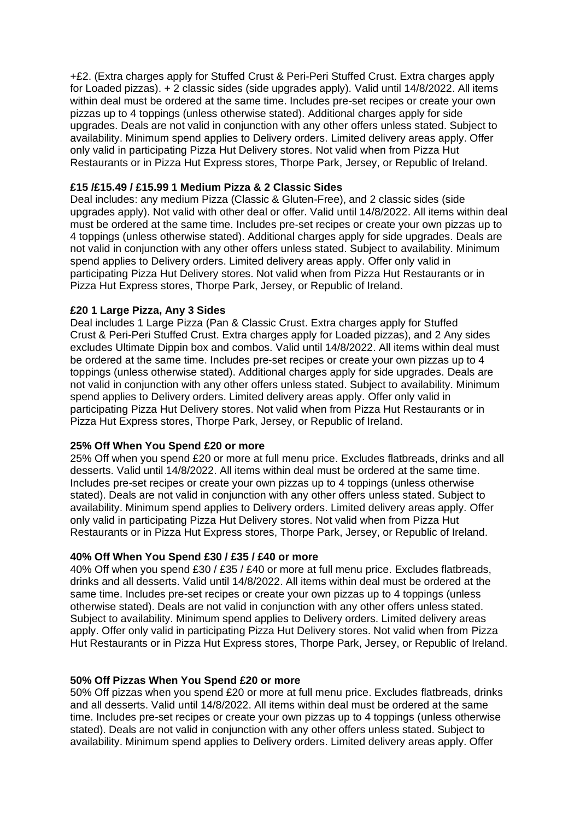+£2. (Extra charges apply for Stuffed Crust & Peri-Peri Stuffed Crust. Extra charges apply for Loaded pizzas). + 2 classic sides (side upgrades apply). Valid until 14/8/2022. All items within deal must be ordered at the same time. Includes pre-set recipes or create your own pizzas up to 4 toppings (unless otherwise stated). Additional charges apply for side upgrades. Deals are not valid in conjunction with any other offers unless stated. Subject to availability. Minimum spend applies to Delivery orders. Limited delivery areas apply. Offer only valid in participating Pizza Hut Delivery stores. Not valid when from Pizza Hut Restaurants or in Pizza Hut Express stores, Thorpe Park, Jersey, or Republic of Ireland.

# **£15 /£15.49 / £15.99 1 Medium Pizza & 2 Classic Sides**

Deal includes: any medium Pizza (Classic & Gluten-Free), and 2 classic sides (side upgrades apply). Not valid with other deal or offer. Valid until 14/8/2022. All items within deal must be ordered at the same time. Includes pre-set recipes or create your own pizzas up to 4 toppings (unless otherwise stated). Additional charges apply for side upgrades. Deals are not valid in conjunction with any other offers unless stated. Subject to availability. Minimum spend applies to Delivery orders. Limited delivery areas apply. Offer only valid in participating Pizza Hut Delivery stores. Not valid when from Pizza Hut Restaurants or in Pizza Hut Express stores, Thorpe Park, Jersey, or Republic of Ireland.

# **£20 1 Large Pizza, Any 3 Sides**

Deal includes 1 Large Pizza (Pan & Classic Crust. Extra charges apply for Stuffed Crust & Peri-Peri Stuffed Crust. Extra charges apply for Loaded pizzas), and 2 Any sides excludes Ultimate Dippin box and combos. Valid until 14/8/2022. All items within deal must be ordered at the same time. Includes pre-set recipes or create your own pizzas up to 4 toppings (unless otherwise stated). Additional charges apply for side upgrades. Deals are not valid in conjunction with any other offers unless stated. Subject to availability. Minimum spend applies to Delivery orders. Limited delivery areas apply. Offer only valid in participating Pizza Hut Delivery stores. Not valid when from Pizza Hut Restaurants or in Pizza Hut Express stores, Thorpe Park, Jersey, or Republic of Ireland.

# **25% Off When You Spend £20 or more**

25% Off when you spend £20 or more at full menu price. Excludes flatbreads, drinks and all desserts. Valid until 14/8/2022. All items within deal must be ordered at the same time. Includes pre-set recipes or create your own pizzas up to 4 toppings (unless otherwise stated). Deals are not valid in conjunction with any other offers unless stated. Subject to availability. Minimum spend applies to Delivery orders. Limited delivery areas apply. Offer only valid in participating Pizza Hut Delivery stores. Not valid when from Pizza Hut Restaurants or in Pizza Hut Express stores, Thorpe Park, Jersey, or Republic of Ireland.

# **40% Off When You Spend £30 / £35 / £40 or more**

40% Off when you spend £30 / £35 / £40 or more at full menu price. Excludes flatbreads, drinks and all desserts. Valid until 14/8/2022. All items within deal must be ordered at the same time. Includes pre-set recipes or create your own pizzas up to 4 toppings (unless otherwise stated). Deals are not valid in conjunction with any other offers unless stated. Subject to availability. Minimum spend applies to Delivery orders. Limited delivery areas apply. Offer only valid in participating Pizza Hut Delivery stores. Not valid when from Pizza Hut Restaurants or in Pizza Hut Express stores, Thorpe Park, Jersey, or Republic of Ireland.

# **50% Off Pizzas When You Spend £20 or more**

50% Off pizzas when you spend £20 or more at full menu price. Excludes flatbreads, drinks and all desserts. Valid until 14/8/2022. All items within deal must be ordered at the same time. Includes pre-set recipes or create your own pizzas up to 4 toppings (unless otherwise stated). Deals are not valid in conjunction with any other offers unless stated. Subject to availability. Minimum spend applies to Delivery orders. Limited delivery areas apply. Offer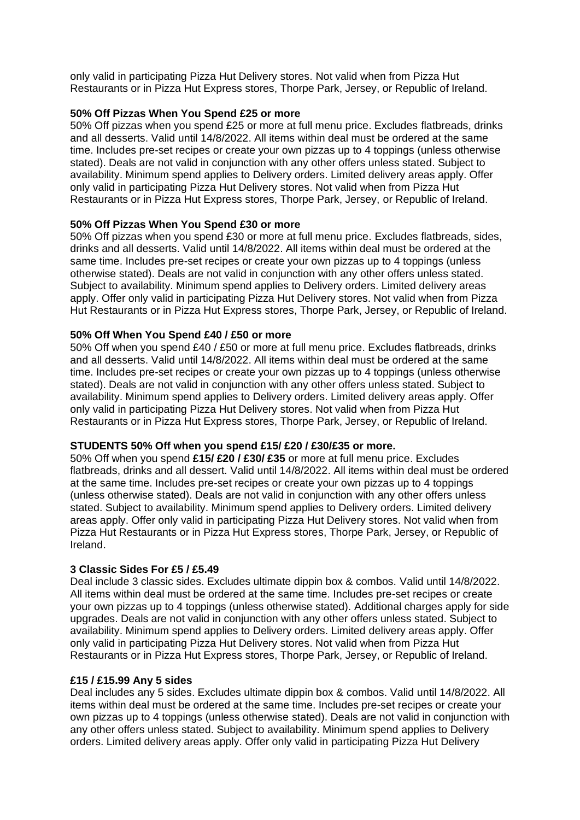only valid in participating Pizza Hut Delivery stores. Not valid when from Pizza Hut Restaurants or in Pizza Hut Express stores, Thorpe Park, Jersey, or Republic of Ireland.

# **50% Off Pizzas When You Spend £25 or more**

50% Off pizzas when you spend £25 or more at full menu price. Excludes flatbreads, drinks and all desserts. Valid until 14/8/2022. All items within deal must be ordered at the same time. Includes pre-set recipes or create your own pizzas up to 4 toppings (unless otherwise stated). Deals are not valid in conjunction with any other offers unless stated. Subject to availability. Minimum spend applies to Delivery orders. Limited delivery areas apply. Offer only valid in participating Pizza Hut Delivery stores. Not valid when from Pizza Hut Restaurants or in Pizza Hut Express stores, Thorpe Park, Jersey, or Republic of Ireland.

# **50% Off Pizzas When You Spend £30 or more**

50% Off pizzas when you spend £30 or more at full menu price. Excludes flatbreads, sides, drinks and all desserts. Valid until 14/8/2022. All items within deal must be ordered at the same time. Includes pre-set recipes or create your own pizzas up to 4 toppings (unless otherwise stated). Deals are not valid in conjunction with any other offers unless stated. Subject to availability. Minimum spend applies to Delivery orders. Limited delivery areas apply. Offer only valid in participating Pizza Hut Delivery stores. Not valid when from Pizza Hut Restaurants or in Pizza Hut Express stores, Thorpe Park, Jersey, or Republic of Ireland.

# **50% Off When You Spend £40 / £50 or more**

50% Off when you spend £40 / £50 or more at full menu price. Excludes flatbreads, drinks and all desserts. Valid until 14/8/2022. All items within deal must be ordered at the same time. Includes pre-set recipes or create your own pizzas up to 4 toppings (unless otherwise stated). Deals are not valid in conjunction with any other offers unless stated. Subject to availability. Minimum spend applies to Delivery orders. Limited delivery areas apply. Offer only valid in participating Pizza Hut Delivery stores. Not valid when from Pizza Hut Restaurants or in Pizza Hut Express stores, Thorpe Park, Jersey, or Republic of Ireland.

# **STUDENTS 50% Off when you spend £15/ £20 / £30/£35 or more.**

50% Off when you spend **£15/ £20 / £30/ £35** or more at full menu price. Excludes flatbreads, drinks and all dessert. Valid until 14/8/2022. All items within deal must be ordered at the same time. Includes pre-set recipes or create your own pizzas up to 4 toppings (unless otherwise stated). Deals are not valid in conjunction with any other offers unless stated. Subject to availability. Minimum spend applies to Delivery orders. Limited delivery areas apply. Offer only valid in participating Pizza Hut Delivery stores. Not valid when from Pizza Hut Restaurants or in Pizza Hut Express stores, Thorpe Park, Jersey, or Republic of Ireland.

# **3 Classic Sides For £5 / £5.49**

Deal include 3 classic sides. Excludes ultimate dippin box & combos. Valid until 14/8/2022. All items within deal must be ordered at the same time. Includes pre-set recipes or create your own pizzas up to 4 toppings (unless otherwise stated). Additional charges apply for side upgrades. Deals are not valid in conjunction with any other offers unless stated. Subject to availability. Minimum spend applies to Delivery orders. Limited delivery areas apply. Offer only valid in participating Pizza Hut Delivery stores. Not valid when from Pizza Hut Restaurants or in Pizza Hut Express stores, Thorpe Park, Jersey, or Republic of Ireland.

# **£15 / £15.99 Any 5 sides**

Deal includes any 5 sides. Excludes ultimate dippin box & combos. Valid until 14/8/2022. All items within deal must be ordered at the same time. Includes pre-set recipes or create your own pizzas up to 4 toppings (unless otherwise stated). Deals are not valid in conjunction with any other offers unless stated. Subject to availability. Minimum spend applies to Delivery orders. Limited delivery areas apply. Offer only valid in participating Pizza Hut Delivery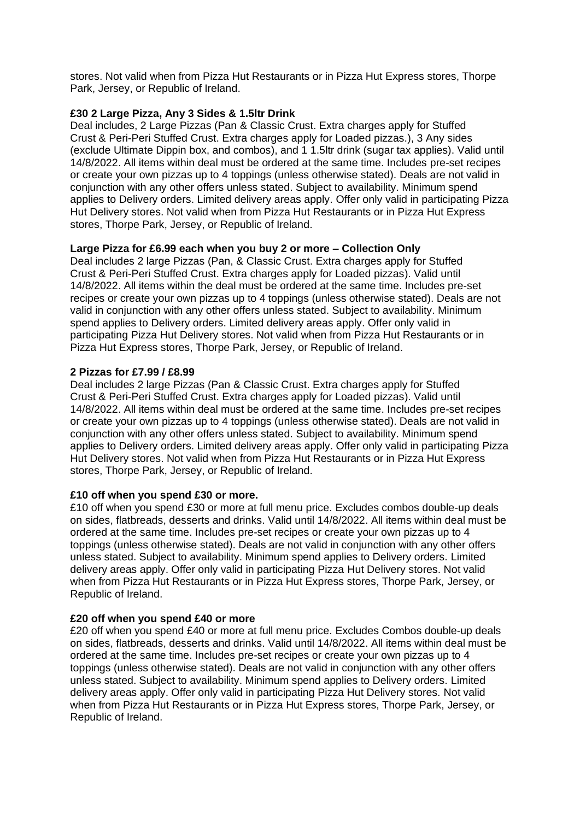stores. Not valid when from Pizza Hut Restaurants or in Pizza Hut Express stores, Thorpe Park, Jersey, or Republic of Ireland.

# **£30 2 Large Pizza, Any 3 Sides & 1.5ltr Drink**

Deal includes, 2 Large Pizzas (Pan & Classic Crust. Extra charges apply for Stuffed Crust & Peri-Peri Stuffed Crust. Extra charges apply for Loaded pizzas.), 3 Any sides (exclude Ultimate Dippin box, and combos), and 1 1.5ltr drink (sugar tax applies). Valid until 14/8/2022. All items within deal must be ordered at the same time. Includes pre-set recipes or create your own pizzas up to 4 toppings (unless otherwise stated). Deals are not valid in conjunction with any other offers unless stated. Subject to availability. Minimum spend applies to Delivery orders. Limited delivery areas apply. Offer only valid in participating Pizza Hut Delivery stores. Not valid when from Pizza Hut Restaurants or in Pizza Hut Express stores, Thorpe Park, Jersey, or Republic of Ireland.

#### **Large Pizza for £6.99 each when you buy 2 or more – Collection Only**

Deal includes 2 large Pizzas (Pan, & Classic Crust. Extra charges apply for Stuffed Crust & Peri-Peri Stuffed Crust. Extra charges apply for Loaded pizzas). Valid until 14/8/2022. All items within the deal must be ordered at the same time. Includes pre-set recipes or create your own pizzas up to 4 toppings (unless otherwise stated). Deals are not valid in conjunction with any other offers unless stated. Subject to availability. Minimum spend applies to Delivery orders. Limited delivery areas apply. Offer only valid in participating Pizza Hut Delivery stores. Not valid when from Pizza Hut Restaurants or in Pizza Hut Express stores, Thorpe Park, Jersey, or Republic of Ireland.

#### **2 Pizzas for £7.99 / £8.99**

Deal includes 2 large Pizzas (Pan & Classic Crust. Extra charges apply for Stuffed Crust & Peri-Peri Stuffed Crust. Extra charges apply for Loaded pizzas). Valid until 14/8/2022. All items within deal must be ordered at the same time. Includes pre-set recipes or create your own pizzas up to 4 toppings (unless otherwise stated). Deals are not valid in conjunction with any other offers unless stated. Subject to availability. Minimum spend applies to Delivery orders. Limited delivery areas apply. Offer only valid in participating Pizza Hut Delivery stores. Not valid when from Pizza Hut Restaurants or in Pizza Hut Express stores, Thorpe Park, Jersey, or Republic of Ireland.

#### **£10 off when you spend £30 or more.**

£10 off when you spend £30 or more at full menu price. Excludes combos double-up deals on sides, flatbreads, desserts and drinks. Valid until 14/8/2022. All items within deal must be ordered at the same time. Includes pre-set recipes or create your own pizzas up to 4 toppings (unless otherwise stated). Deals are not valid in conjunction with any other offers unless stated. Subject to availability. Minimum spend applies to Delivery orders. Limited delivery areas apply. Offer only valid in participating Pizza Hut Delivery stores. Not valid when from Pizza Hut Restaurants or in Pizza Hut Express stores, Thorpe Park, Jersey, or Republic of Ireland.

#### **£20 off when you spend £40 or more**

£20 off when you spend £40 or more at full menu price. Excludes Combos double-up deals on sides, flatbreads, desserts and drinks. Valid until 14/8/2022. All items within deal must be ordered at the same time. Includes pre-set recipes or create your own pizzas up to 4 toppings (unless otherwise stated). Deals are not valid in conjunction with any other offers unless stated. Subject to availability. Minimum spend applies to Delivery orders. Limited delivery areas apply. Offer only valid in participating Pizza Hut Delivery stores. Not valid when from Pizza Hut Restaurants or in Pizza Hut Express stores, Thorpe Park, Jersey, or Republic of Ireland.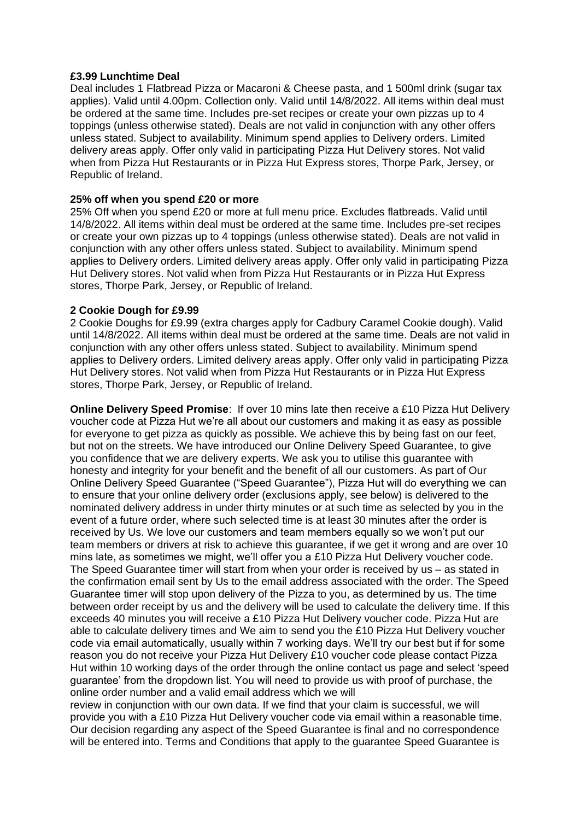#### **£3.99 Lunchtime Deal**

Deal includes 1 Flatbread Pizza or Macaroni & Cheese pasta, and 1 500ml drink (sugar tax applies). Valid until 4.00pm. Collection only. Valid until 14/8/2022. All items within deal must be ordered at the same time. Includes pre-set recipes or create your own pizzas up to 4 toppings (unless otherwise stated). Deals are not valid in conjunction with any other offers unless stated. Subject to availability. Minimum spend applies to Delivery orders. Limited delivery areas apply. Offer only valid in participating Pizza Hut Delivery stores. Not valid when from Pizza Hut Restaurants or in Pizza Hut Express stores, Thorpe Park, Jersey, or Republic of Ireland.

#### **25% off when you spend £20 or more**

25% Off when you spend £20 or more at full menu price. Excludes flatbreads. Valid until 14/8/2022. All items within deal must be ordered at the same time. Includes pre-set recipes or create your own pizzas up to 4 toppings (unless otherwise stated). Deals are not valid in conjunction with any other offers unless stated. Subject to availability. Minimum spend applies to Delivery orders. Limited delivery areas apply. Offer only valid in participating Pizza Hut Delivery stores. Not valid when from Pizza Hut Restaurants or in Pizza Hut Express stores, Thorpe Park, Jersey, or Republic of Ireland.

#### **2 Cookie Dough for £9.99**

2 Cookie Doughs for £9.99 (extra charges apply for Cadbury Caramel Cookie dough). Valid until 14/8/2022. All items within deal must be ordered at the same time. Deals are not valid in conjunction with any other offers unless stated. Subject to availability. Minimum spend applies to Delivery orders. Limited delivery areas apply. Offer only valid in participating Pizza Hut Delivery stores. Not valid when from Pizza Hut Restaurants or in Pizza Hut Express stores, Thorpe Park, Jersey, or Republic of Ireland.

**Online Delivery Speed Promise**: If over 10 mins late then receive a £10 Pizza Hut Delivery voucher code at Pizza Hut we're all about our customers and making it as easy as possible for everyone to get pizza as quickly as possible. We achieve this by being fast on our feet, but not on the streets. We have introduced our Online Delivery Speed Guarantee, to give you confidence that we are delivery experts. We ask you to utilise this guarantee with honesty and integrity for your benefit and the benefit of all our customers. As part of Our Online Delivery Speed Guarantee ("Speed Guarantee"), Pizza Hut will do everything we can to ensure that your online delivery order (exclusions apply, see below) is delivered to the nominated delivery address in under thirty minutes or at such time as selected by you in the event of a future order, where such selected time is at least 30 minutes after the order is received by Us. We love our customers and team members equally so we won't put our team members or drivers at risk to achieve this guarantee, if we get it wrong and are over 10 mins late, as sometimes we might, we'll offer you a £10 Pizza Hut Delivery voucher code. The Speed Guarantee timer will start from when your order is received by us – as stated in the confirmation email sent by Us to the email address associated with the order. The Speed Guarantee timer will stop upon delivery of the Pizza to you, as determined by us. The time between order receipt by us and the delivery will be used to calculate the delivery time. If this exceeds 40 minutes you will receive a £10 Pizza Hut Delivery voucher code. Pizza Hut are able to calculate delivery times and We aim to send you the £10 Pizza Hut Delivery voucher code via email automatically, usually within 7 working days. We'll try our best but if for some reason you do not receive your Pizza Hut Delivery £10 voucher code please contact Pizza Hut within 10 working days of the order through the online contact us page and select 'speed guarantee' from the dropdown list. You will need to provide us with proof of purchase, the online order number and a valid email address which we will

review in conjunction with our own data. If we find that your claim is successful, we will provide you with a £10 Pizza Hut Delivery voucher code via email within a reasonable time. Our decision regarding any aspect of the Speed Guarantee is final and no correspondence will be entered into. Terms and Conditions that apply to the guarantee Speed Guarantee is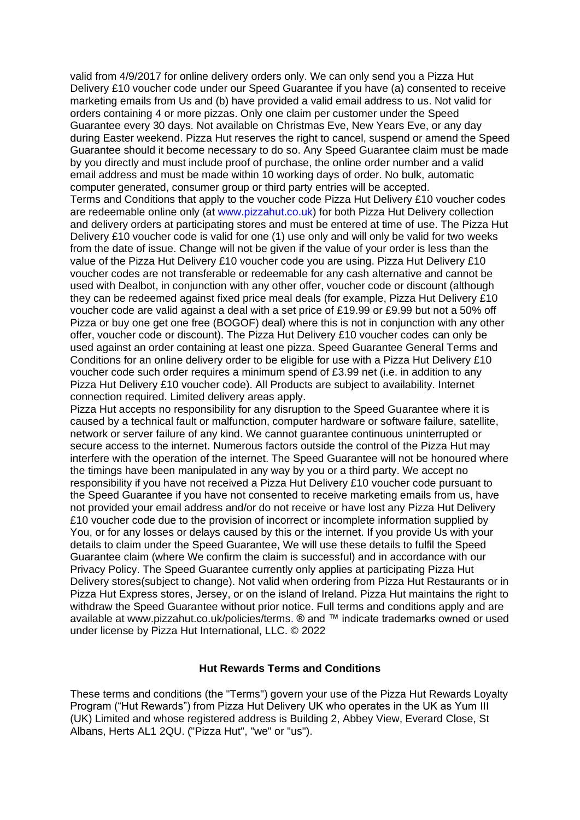valid from 4/9/2017 for online delivery orders only. We can only send you a Pizza Hut Delivery £10 voucher code under our Speed Guarantee if you have (a) consented to receive marketing emails from Us and (b) have provided a valid email address to us. Not valid for orders containing 4 or more pizzas. Only one claim per customer under the Speed Guarantee every 30 days. Not available on Christmas Eve, New Years Eve, or any day during Easter weekend. Pizza Hut reserves the right to cancel, suspend or amend the Speed Guarantee should it become necessary to do so. Any Speed Guarantee claim must be made by you directly and must include proof of purchase, the online order number and a valid email address and must be made within 10 working days of order. No bulk, automatic computer generated, consumer group or third party entries will be accepted. Terms and Conditions that apply to the voucher code Pizza Hut Delivery £10 voucher codes are redeemable online only (at www.pizzahut.co.uk) for both Pizza Hut Delivery collection and delivery orders at participating stores and must be entered at time of use. The Pizza Hut Delivery £10 voucher code is valid for one (1) use only and will only be valid for two weeks from the date of issue. Change will not be given if the value of your order is less than the value of the Pizza Hut Delivery £10 voucher code you are using. Pizza Hut Delivery £10 voucher codes are not transferable or redeemable for any cash alternative and cannot be used with Dealbot, in conjunction with any other offer, voucher code or discount (although they can be redeemed against fixed price meal deals (for example, Pizza Hut Delivery £10 voucher code are valid against a deal with a set price of £19.99 or £9.99 but not a 50% off Pizza or buy one get one free (BOGOF) deal) where this is not in conjunction with any other offer, voucher code or discount). The Pizza Hut Delivery £10 voucher codes can only be used against an order containing at least one pizza. Speed Guarantee General Terms and Conditions for an online delivery order to be eligible for use with a Pizza Hut Delivery £10 voucher code such order requires a minimum spend of £3.99 net (i.e. in addition to any Pizza Hut Delivery £10 voucher code). All Products are subject to availability. Internet connection required. Limited delivery areas apply.

Pizza Hut accepts no responsibility for any disruption to the Speed Guarantee where it is caused by a technical fault or malfunction, computer hardware or software failure, satellite, network or server failure of any kind. We cannot guarantee continuous uninterrupted or secure access to the internet. Numerous factors outside the control of the Pizza Hut may interfere with the operation of the internet. The Speed Guarantee will not be honoured where the timings have been manipulated in any way by you or a third party. We accept no responsibility if you have not received a Pizza Hut Delivery £10 voucher code pursuant to the Speed Guarantee if you have not consented to receive marketing emails from us, have not provided your email address and/or do not receive or have lost any Pizza Hut Delivery £10 voucher code due to the provision of incorrect or incomplete information supplied by You, or for any losses or delays caused by this or the internet. If you provide Us with your details to claim under the Speed Guarantee, We will use these details to fulfil the Speed Guarantee claim (where We confirm the claim is successful) and in accordance with our Privacy Policy. The Speed Guarantee currently only applies at participating Pizza Hut Delivery stores(subject to change). Not valid when ordering from Pizza Hut Restaurants or in Pizza Hut Express stores, Jersey, or on the island of Ireland. Pizza Hut maintains the right to withdraw the Speed Guarantee without prior notice. Full terms and conditions apply and are available at www.pizzahut.co.uk/policies/terms. ® and ™ indicate trademarks owned or used under license by Pizza Hut International, LLC. © 2022

#### **Hut Rewards Terms and Conditions**

These terms and conditions (the "Terms") govern your use of the Pizza Hut Rewards Loyalty Program ("Hut Rewards") from Pizza Hut Delivery UK who operates in the UK as Yum III (UK) Limited and whose registered address is Building 2, Abbey View, Everard Close, St Albans, Herts AL1 2QU. ("Pizza Hut", "we" or "us").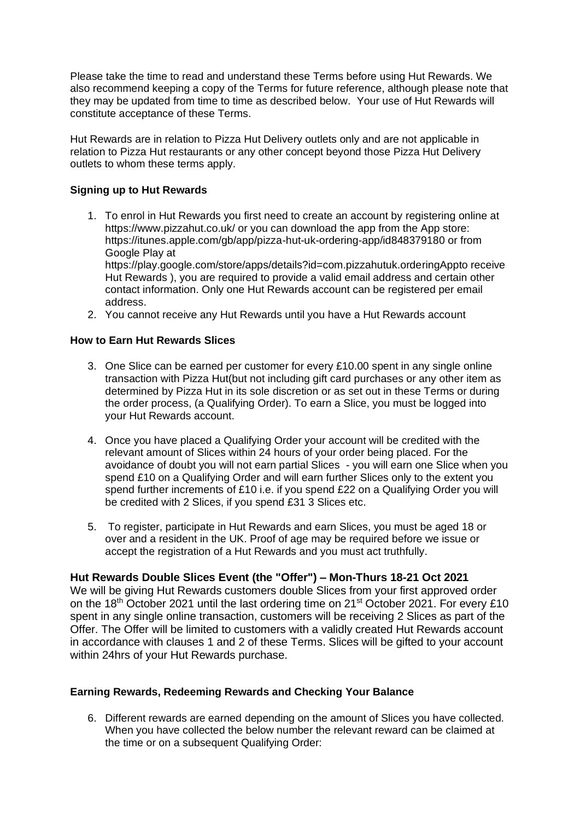Please take the time to read and understand these Terms before using Hut Rewards. We also recommend keeping a copy of the Terms for future reference, although please note that they may be updated from time to time as described below. Your use of Hut Rewards will constitute acceptance of these Terms.

Hut Rewards are in relation to Pizza Hut Delivery outlets only and are not applicable in relation to Pizza Hut restaurants or any other concept beyond those Pizza Hut Delivery outlets to whom these terms apply.

# **Signing up to Hut Rewards**

1. To enrol in Hut Rewards you first need to create an account by registering online at https://www.pizzahut.co.uk/ or you can download the app from the App store: https://itunes.apple.com/gb/app/pizza-hut-uk-ordering-app/id848379180 or from Google Play at https://play.google.com/store/apps/details?id=com.pizzahutuk.orderingAppto receive Hut Rewards ), you are required to provide a valid email address and certain other

contact information. Only one Hut Rewards account can be registered per email address.

2. You cannot receive any Hut Rewards until you have a Hut Rewards account

# **How to Earn Hut Rewards Slices**

- 3. One Slice can be earned per customer for every £10.00 spent in any single online transaction with Pizza Hut(but not including gift card purchases or any other item as determined by Pizza Hut in its sole discretion or as set out in these Terms or during the order process, (a Qualifying Order). To earn a Slice, you must be logged into your Hut Rewards account.
- 4. Once you have placed a Qualifying Order your account will be credited with the relevant amount of Slices within 24 hours of your order being placed. For the avoidance of doubt you will not earn partial Slices - you will earn one Slice when you spend £10 on a Qualifying Order and will earn further Slices only to the extent you spend further increments of £10 i.e. if you spend £22 on a Qualifying Order you will be credited with 2 Slices, if you spend £31 3 Slices etc.
- 5. To register, participate in Hut Rewards and earn Slices, you must be aged 18 or over and a resident in the UK. Proof of age may be required before we issue or accept the registration of a Hut Rewards and you must act truthfully.

# **Hut Rewards Double Slices Event (the "Offer") – Mon-Thurs 18-21 Oct 2021**

We will be giving Hut Rewards customers double Slices from your first approved order on the 18<sup>th</sup> October 2021 until the last ordering time on 21<sup>st</sup> October 2021. For every £10 spent in any single online transaction, customers will be receiving 2 Slices as part of the Offer. The Offer will be limited to customers with a validly created Hut Rewards account in accordance with clauses 1 and 2 of these Terms. Slices will be gifted to your account within 24hrs of your Hut Rewards purchase.

# **Earning Rewards, Redeeming Rewards and Checking Your Balance**

6. Different rewards are earned depending on the amount of Slices you have collected. When you have collected the below number the relevant reward can be claimed at the time or on a subsequent Qualifying Order: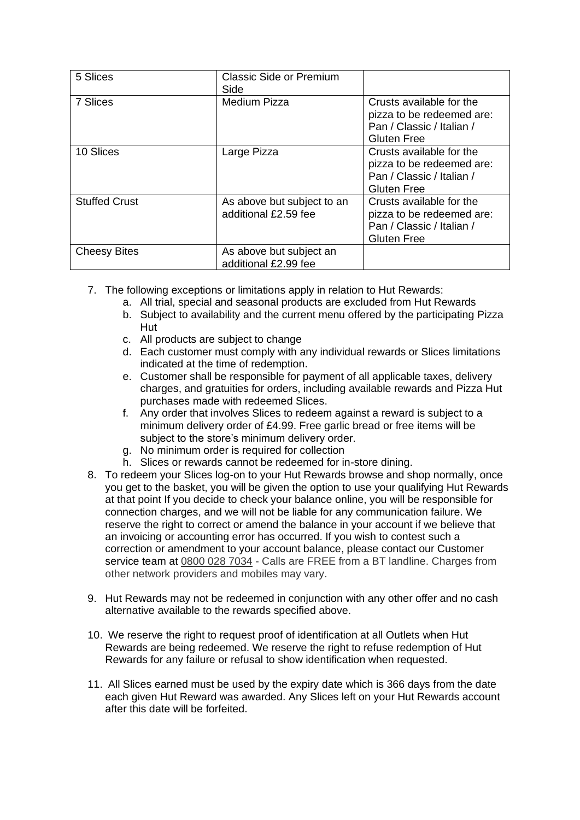| 5 Slices             | <b>Classic Side or Premium</b><br>Side             |                                                                                                          |
|----------------------|----------------------------------------------------|----------------------------------------------------------------------------------------------------------|
| 7 Slices             | <b>Medium Pizza</b>                                | Crusts available for the<br>pizza to be redeemed are:<br>Pan / Classic / Italian /<br><b>Gluten Free</b> |
| 10 Slices            | Large Pizza                                        | Crusts available for the<br>pizza to be redeemed are:<br>Pan / Classic / Italian /<br><b>Gluten Free</b> |
| <b>Stuffed Crust</b> | As above but subject to an<br>additional £2.59 fee | Crusts available for the<br>pizza to be redeemed are:<br>Pan / Classic / Italian /<br><b>Gluten Free</b> |
| <b>Cheesy Bites</b>  | As above but subject an<br>additional £2.99 fee    |                                                                                                          |

- 7. The following exceptions or limitations apply in relation to Hut Rewards:
	- a. All trial, special and seasonal products are excluded from Hut Rewards
	- b. Subject to availability and the current menu offered by the participating Pizza Hut
	- c. All products are subject to change
	- d. Each customer must comply with any individual rewards or Slices limitations indicated at the time of redemption.
	- e. Customer shall be responsible for payment of all applicable taxes, delivery charges, and gratuities for orders, including available rewards and Pizza Hut purchases made with redeemed Slices.
	- f. Any order that involves Slices to redeem against a reward is subject to a minimum delivery order of £4.99. Free garlic bread or free items will be subject to the store's minimum delivery order.
	- g. No minimum order is required for collection
	- h. Slices or rewards cannot be redeemed for in-store dining.
- 8. To redeem your Slices log-on to your Hut Rewards browse and shop normally, once you get to the basket, you will be given the option to use your qualifying Hut Rewards at that point If you decide to check your balance online, you will be responsible for connection charges, and we will not be liable for any communication failure. We reserve the right to correct or amend the balance in your account if we believe that an invoicing or accounting error has occurred. If you wish to contest such a correction or amendment to your account balance, please contact our Customer service team at [0800 028 7034](tel:0800%20028%207034) - Calls are FREE from a BT landline. Charges from other network providers and mobiles may vary.
- 9. Hut Rewards may not be redeemed in conjunction with any other offer and no cash alternative available to the rewards specified above.
- 10. We reserve the right to request proof of identification at all Outlets when Hut Rewards are being redeemed. We reserve the right to refuse redemption of Hut Rewards for any failure or refusal to show identification when requested.
- 11. All Slices earned must be used by the expiry date which is 366 days from the date each given Hut Reward was awarded. Any Slices left on your Hut Rewards account after this date will be forfeited.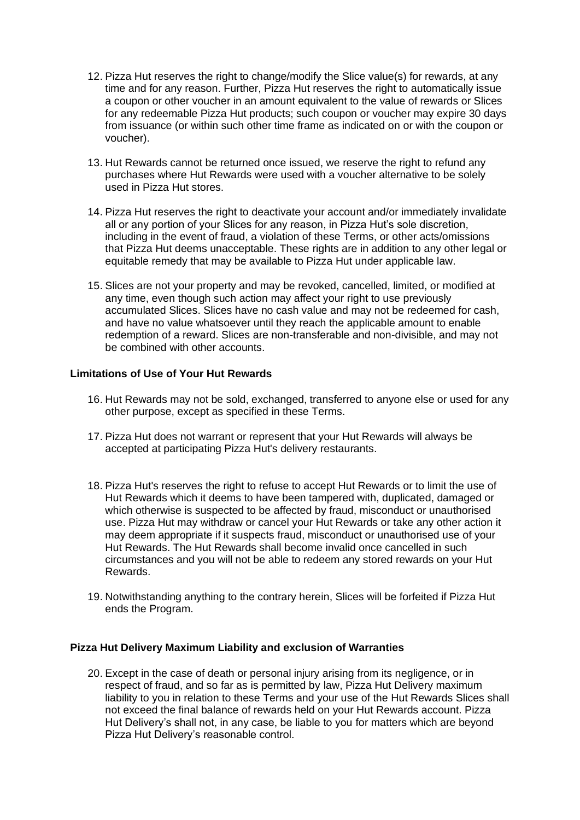- 12. Pizza Hut reserves the right to change/modify the Slice value(s) for rewards, at any time and for any reason. Further, Pizza Hut reserves the right to automatically issue a coupon or other voucher in an amount equivalent to the value of rewards or Slices for any redeemable Pizza Hut products; such coupon or voucher may expire 30 days from issuance (or within such other time frame as indicated on or with the coupon or voucher).
- 13. Hut Rewards cannot be returned once issued, we reserve the right to refund any purchases where Hut Rewards were used with a voucher alternative to be solely used in Pizza Hut stores.
- 14. Pizza Hut reserves the right to deactivate your account and/or immediately invalidate all or any portion of your Slices for any reason, in Pizza Hut's sole discretion, including in the event of fraud, a violation of these Terms, or other acts/omissions that Pizza Hut deems unacceptable. These rights are in addition to any other legal or equitable remedy that may be available to Pizza Hut under applicable law.
- 15. Slices are not your property and may be revoked, cancelled, limited, or modified at any time, even though such action may affect your right to use previously accumulated Slices. Slices have no cash value and may not be redeemed for cash, and have no value whatsoever until they reach the applicable amount to enable redemption of a reward. Slices are non-transferable and non-divisible, and may not be combined with other accounts.

# **Limitations of Use of Your Hut Rewards**

- 16. Hut Rewards may not be sold, exchanged, transferred to anyone else or used for any other purpose, except as specified in these Terms.
- 17. Pizza Hut does not warrant or represent that your Hut Rewards will always be accepted at participating Pizza Hut's delivery restaurants.
- 18. Pizza Hut's reserves the right to refuse to accept Hut Rewards or to limit the use of Hut Rewards which it deems to have been tampered with, duplicated, damaged or which otherwise is suspected to be affected by fraud, misconduct or unauthorised use. Pizza Hut may withdraw or cancel your Hut Rewards or take any other action it may deem appropriate if it suspects fraud, misconduct or unauthorised use of your Hut Rewards. The Hut Rewards shall become invalid once cancelled in such circumstances and you will not be able to redeem any stored rewards on your Hut Rewards.
- 19. Notwithstanding anything to the contrary herein, Slices will be forfeited if Pizza Hut ends the Program.

# **Pizza Hut Delivery Maximum Liability and exclusion of Warranties**

20. Except in the case of death or personal injury arising from its negligence, or in respect of fraud, and so far as is permitted by law, Pizza Hut Delivery maximum liability to you in relation to these Terms and your use of the Hut Rewards Slices shall not exceed the final balance of rewards held on your Hut Rewards account. Pizza Hut Delivery's shall not, in any case, be liable to you for matters which are beyond Pizza Hut Delivery's reasonable control.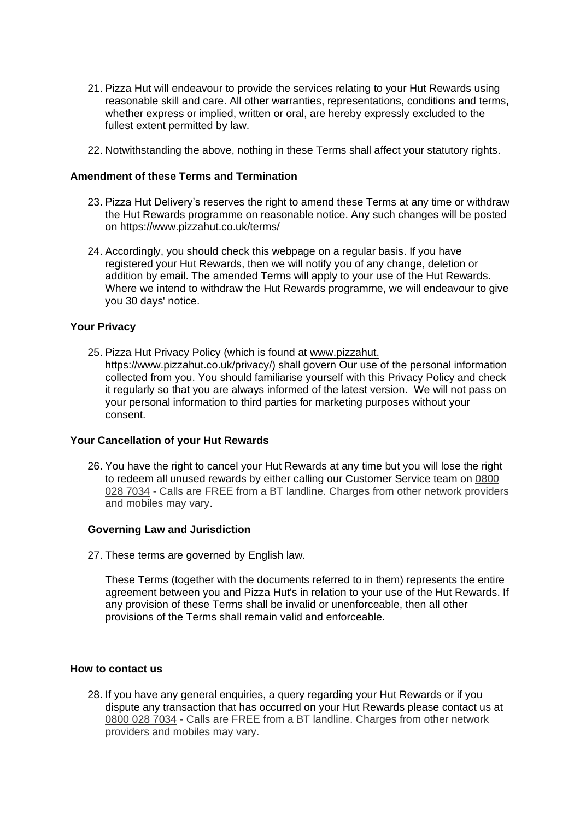- 21. Pizza Hut will endeavour to provide the services relating to your Hut Rewards using reasonable skill and care. All other warranties, representations, conditions and terms, whether express or implied, written or oral, are hereby expressly excluded to the fullest extent permitted by law.
- 22. Notwithstanding the above, nothing in these Terms shall affect your statutory rights.

#### **Amendment of these Terms and Termination**

- 23. Pizza Hut Delivery's reserves the right to amend these Terms at any time or withdraw the Hut Rewards programme on reasonable notice. Any such changes will be posted on https://www.pizzahut.co.uk/terms/
- 24. Accordingly, you should check this webpage on a regular basis. If you have registered your Hut Rewards, then we will notify you of any change, deletion or addition by email. The amended Terms will apply to your use of the Hut Rewards. Where we intend to withdraw the Hut Rewards programme, we will endeavour to give you 30 days' notice.

#### **Your Privacy**

25. Pizza Hut Privacy Policy (which is found at [www.pizzahut.](http://www.pizzahu.co.uk/privacy-policy) https://www.pizzahut.co.uk/privacy/) shall govern Our use of the personal information collected from you. You should familiarise yourself with this Privacy Policy and check it regularly so that you are always informed of the latest version. We will not pass on your personal information to third parties for marketing purposes without your consent.

#### **Your Cancellation of your Hut Rewards**

26. You have the right to cancel your Hut Rewards at any time but you will lose the right to redeem all unused rewards by either calling our Customer Service team on [0800](tel:0800%20028%207034)  [028 7034](tel:0800%20028%207034) - Calls are FREE from a BT landline. Charges from other network providers and mobiles may vary.

#### **Governing Law and Jurisdiction**

27. These terms are governed by English law.

These Terms (together with the documents referred to in them) represents the entire agreement between you and Pizza Hut's in relation to your use of the Hut Rewards. If any provision of these Terms shall be invalid or unenforceable, then all other provisions of the Terms shall remain valid and enforceable.

#### **How to contact us**

28. If you have any general enquiries, a query regarding your Hut Rewards or if you dispute any transaction that has occurred on your Hut Rewards please contact us at [0800 028 7034](tel:0800%20028%207034) - Calls are FREE from a BT landline. Charges from other network providers and mobiles may vary.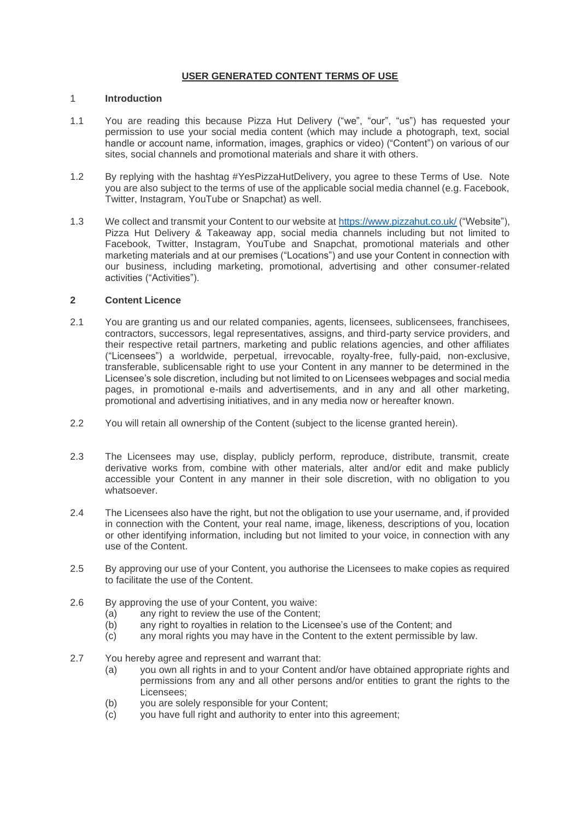#### **USER GENERATED CONTENT TERMS OF USE**

#### 1 **Introduction**

- 1.1 You are reading this because Pizza Hut Delivery ("we", "our", "us") has requested your permission to use your social media content (which may include a photograph, text, social handle or account name, information, images, graphics or video) ("Content") on various of our sites, social channels and promotional materials and share it with others.
- 1.2 By replying with the hashtag #YesPizzaHutDelivery, you agree to these Terms of Use. Note you are also subject to the terms of use of the applicable social media channel (e.g. Facebook, Twitter, Instagram, YouTube or Snapchat) as well.
- 1.3 We collect and transmit your Content to our website at<https://www.pizzahut.co.uk/> ("Website"), Pizza Hut Delivery & Takeaway app, social media channels including but not limited to Facebook, Twitter, Instagram, YouTube and Snapchat, promotional materials and other marketing materials and at our premises ("Locations") and use your Content in connection with our business, including marketing, promotional, advertising and other consumer-related activities ("Activities").

#### **2 Content Licence**

- 2.1 You are granting us and our related companies, agents, licensees, sublicensees, franchisees, contractors, successors, legal representatives, assigns, and third-party service providers, and their respective retail partners, marketing and public relations agencies, and other affiliates ("Licensees") a worldwide, perpetual, irrevocable, royalty-free, fully-paid, non-exclusive, transferable, sublicensable right to use your Content in any manner to be determined in the Licensee's sole discretion, including but not limited to on Licensees webpages and social media pages, in promotional e-mails and advertisements, and in any and all other marketing, promotional and advertising initiatives, and in any media now or hereafter known.
- 2.2 You will retain all ownership of the Content (subject to the license granted herein).
- 2.3 The Licensees may use, display, publicly perform, reproduce, distribute, transmit, create derivative works from, combine with other materials, alter and/or edit and make publicly accessible your Content in any manner in their sole discretion, with no obligation to you whatsoever.
- 2.4 The Licensees also have the right, but not the obligation to use your username, and, if provided in connection with the Content, your real name, image, likeness, descriptions of you, location or other identifying information, including but not limited to your voice, in connection with any use of the Content.
- 2.5 By approving our use of your Content, you authorise the Licensees to make copies as required to facilitate the use of the Content.
- 2.6 By approving the use of your Content, you waive:
	- (a) any right to review the use of the Content;
	- (b) any right to royalties in relation to the Licensee's use of the Content; and
	- (c) any moral rights you may have in the Content to the extent permissible by law.
- 2.7 You hereby agree and represent and warrant that:
	- (a) you own all rights in and to your Content and/or have obtained appropriate rights and permissions from any and all other persons and/or entities to grant the rights to the Licensees;
	- (b) you are solely responsible for your Content;
	- (c) you have full right and authority to enter into this agreement;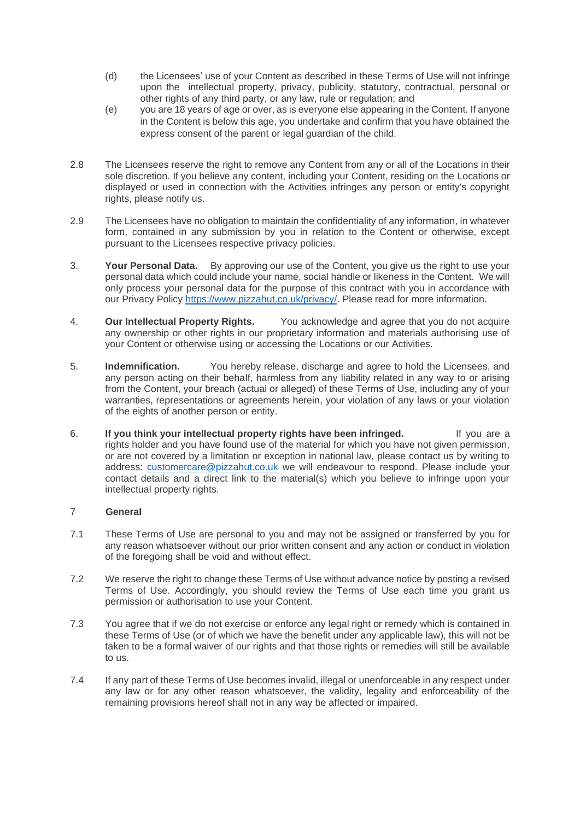- (d) the Licensees' use of your Content as described in these Terms of Use will not infringe upon the intellectual property, privacy, publicity, statutory, contractual, personal or other rights of any third party, or any law, rule or regulation; and
- (e) you are 18 years of age or over, as is everyone else appearing in the Content. If anyone in the Content is below this age, you undertake and confirm that you have obtained the express consent of the parent or legal guardian of the child.
- 2.8 The Licensees reserve the right to remove any Content from any or all of the Locations in their sole discretion. If you believe any content, including your Content, residing on the Locations or displayed or used in connection with the Activities infringes any person or entity's copyright rights, please notify us.
- 2.9 The Licensees have no obligation to maintain the confidentiality of any information, in whatever form, contained in any submission by you in relation to the Content or otherwise, except pursuant to the Licensees respective privacy policies.
- 3. **Your Personal Data.** By approving our use of the Content, you give us the right to use your personal data which could include your name, social handle or likeness in the Content. We will only process your personal data for the purpose of this contract with you in accordance with our Privacy Policy [https://www.pizzahut.co.uk/privacy/.](https://nam11.safelinks.protection.outlook.com/?url=https%3A%2F%2Fwww.pizzahut.co.uk%2Fprivacy%2F&data=04%7C01%7CSanjeela.Pahl%40yum.com%7C68880989950345312f1c08d98ef0a904%7C2ba9001dd7f943a3a0986a927ac715ca%7C0%7C0%7C637697986682146672%7CUnknown%7CTWFpbGZsb3d8eyJWIjoiMC4wLjAwMDAiLCJQIjoiV2luMzIiLCJBTiI6Ik1haWwiLCJXVCI6Mn0%3D%7C1000&sdata=KIqKe9B9BO3H72IiMRjyM3%2BSqY0drEVYwZsolUOn2DU%3D&reserved=0) Please read for more information.
- 4. **Our Intellectual Property Rights.** You acknowledge and agree that you do not acquire any ownership or other rights in our proprietary information and materials authorising use of your Content or otherwise using or accessing the Locations or our Activities.
- 5. **Indemnification.** You hereby release, discharge and agree to hold the Licensees, and any person acting on their behalf, harmless from any liability related in any way to or arising from the Content, your breach (actual or alleged) of these Terms of Use, including any of your warranties, representations or agreements herein, your violation of any laws or your violation of the eights of another person or entity.
- 6. **If you think your intellectual property rights have been infringed.** If you are a rights holder and you have found use of the material for which you have not given permission, or are not covered by a limitation or exception in national law, please contact us by writing to address: [customercare@pizzahut.co.uk](mailto:customercare@pizzahut.co.uk) we will endeavour to respond. Please include your contact details and a direct link to the material(s) which you believe to infringe upon your intellectual property rights.

#### 7 **General**

- 7.1 These Terms of Use are personal to you and may not be assigned or transferred by you for any reason whatsoever without our prior written consent and any action or conduct in violation of the foregoing shall be void and without effect.
- 7.2 We reserve the right to change these Terms of Use without advance notice by posting a revised Terms of Use. Accordingly, you should review the Terms of Use each time you grant us permission or authorisation to use your Content.
- 7.3 You agree that if we do not exercise or enforce any legal right or remedy which is contained in these Terms of Use (or of which we have the benefit under any applicable law), this will not be taken to be a formal waiver of our rights and that those rights or remedies will still be available to us.
- 7.4 If any part of these Terms of Use becomes invalid, illegal or unenforceable in any respect under any law or for any other reason whatsoever, the validity, legality and enforceability of the remaining provisions hereof shall not in any way be affected or impaired.